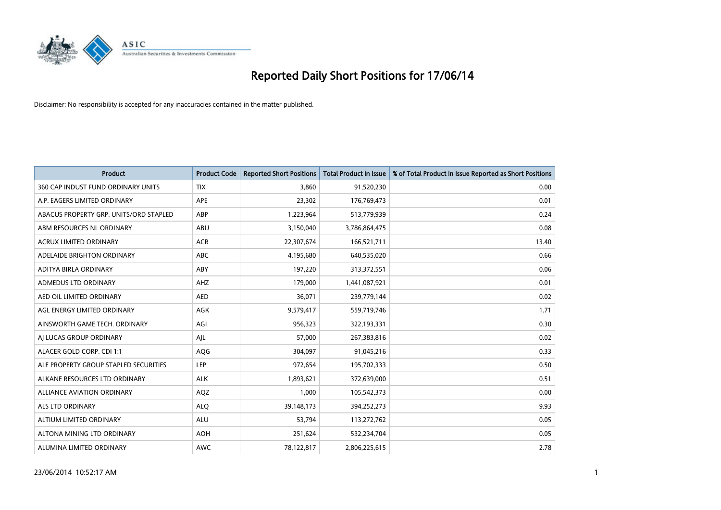

| <b>Product</b>                         | <b>Product Code</b> | <b>Reported Short Positions</b> | <b>Total Product in Issue</b> | % of Total Product in Issue Reported as Short Positions |
|----------------------------------------|---------------------|---------------------------------|-------------------------------|---------------------------------------------------------|
| 360 CAP INDUST FUND ORDINARY UNITS     | <b>TIX</b>          | 3.860                           | 91,520,230                    | 0.00                                                    |
| A.P. EAGERS LIMITED ORDINARY           | APE                 | 23,302                          | 176,769,473                   | 0.01                                                    |
| ABACUS PROPERTY GRP. UNITS/ORD STAPLED | ABP                 | 1,223,964                       | 513,779,939                   | 0.24                                                    |
| ABM RESOURCES NL ORDINARY              | ABU                 | 3,150,040                       | 3,786,864,475                 | 0.08                                                    |
| <b>ACRUX LIMITED ORDINARY</b>          | <b>ACR</b>          | 22,307,674                      | 166,521,711                   | 13.40                                                   |
| ADELAIDE BRIGHTON ORDINARY             | <b>ABC</b>          | 4,195,680                       | 640,535,020                   | 0.66                                                    |
| ADITYA BIRLA ORDINARY                  | ABY                 | 197,220                         | 313,372,551                   | 0.06                                                    |
| ADMEDUS LTD ORDINARY                   | AHZ                 | 179,000                         | 1,441,087,921                 | 0.01                                                    |
| AED OIL LIMITED ORDINARY               | <b>AED</b>          | 36,071                          | 239,779,144                   | 0.02                                                    |
| AGL ENERGY LIMITED ORDINARY            | <b>AGK</b>          | 9,579,417                       | 559,719,746                   | 1.71                                                    |
| AINSWORTH GAME TECH. ORDINARY          | AGI                 | 956,323                         | 322,193,331                   | 0.30                                                    |
| AI LUCAS GROUP ORDINARY                | AJL                 | 57,000                          | 267,383,816                   | 0.02                                                    |
| ALACER GOLD CORP. CDI 1:1              | AQG                 | 304,097                         | 91,045,216                    | 0.33                                                    |
| ALE PROPERTY GROUP STAPLED SECURITIES  | LEP                 | 972,654                         | 195,702,333                   | 0.50                                                    |
| ALKANE RESOURCES LTD ORDINARY          | <b>ALK</b>          | 1,893,621                       | 372,639,000                   | 0.51                                                    |
| ALLIANCE AVIATION ORDINARY             | AQZ                 | 1,000                           | 105,542,373                   | 0.00                                                    |
| ALS LTD ORDINARY                       | <b>ALQ</b>          | 39,148,173                      | 394,252,273                   | 9.93                                                    |
| ALTIUM LIMITED ORDINARY                | ALU                 | 53,794                          | 113,272,762                   | 0.05                                                    |
| ALTONA MINING LTD ORDINARY             | <b>AOH</b>          | 251,624                         | 532,234,704                   | 0.05                                                    |
| ALUMINA LIMITED ORDINARY               | <b>AWC</b>          | 78,122,817                      | 2,806,225,615                 | 2.78                                                    |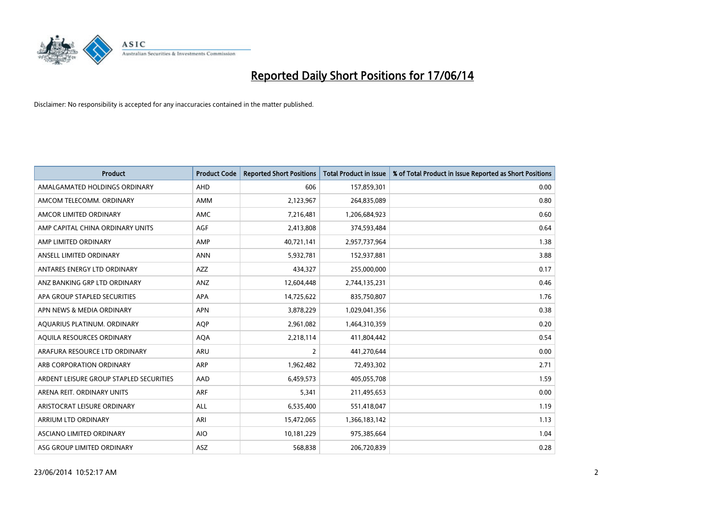

| <b>Product</b>                          | <b>Product Code</b> | <b>Reported Short Positions</b> | <b>Total Product in Issue</b> | % of Total Product in Issue Reported as Short Positions |
|-----------------------------------------|---------------------|---------------------------------|-------------------------------|---------------------------------------------------------|
| AMALGAMATED HOLDINGS ORDINARY           | AHD                 | 606                             | 157,859,301                   | 0.00                                                    |
| AMCOM TELECOMM. ORDINARY                | AMM                 | 2,123,967                       | 264,835,089                   | 0.80                                                    |
| AMCOR LIMITED ORDINARY                  | AMC                 | 7,216,481                       | 1,206,684,923                 | 0.60                                                    |
| AMP CAPITAL CHINA ORDINARY UNITS        | AGF                 | 2,413,808                       | 374,593,484                   | 0.64                                                    |
| AMP LIMITED ORDINARY                    | AMP                 | 40,721,141                      | 2,957,737,964                 | 1.38                                                    |
| ANSELL LIMITED ORDINARY                 | <b>ANN</b>          | 5,932,781                       | 152,937,881                   | 3.88                                                    |
| ANTARES ENERGY LTD ORDINARY             | AZZ                 | 434,327                         | 255,000,000                   | 0.17                                                    |
| ANZ BANKING GRP LTD ORDINARY            | ANZ                 | 12,604,448                      | 2,744,135,231                 | 0.46                                                    |
| APA GROUP STAPLED SECURITIES            | <b>APA</b>          | 14,725,622                      | 835,750,807                   | 1.76                                                    |
| APN NEWS & MEDIA ORDINARY               | <b>APN</b>          | 3,878,229                       | 1,029,041,356                 | 0.38                                                    |
| AQUARIUS PLATINUM. ORDINARY             | <b>AOP</b>          | 2,961,082                       | 1,464,310,359                 | 0.20                                                    |
| AQUILA RESOURCES ORDINARY               | <b>AQA</b>          | 2,218,114                       | 411,804,442                   | 0.54                                                    |
| ARAFURA RESOURCE LTD ORDINARY           | ARU                 | $\overline{2}$                  | 441,270,644                   | 0.00                                                    |
| ARB CORPORATION ORDINARY                | ARP                 | 1,962,482                       | 72,493,302                    | 2.71                                                    |
| ARDENT LEISURE GROUP STAPLED SECURITIES | AAD                 | 6,459,573                       | 405,055,708                   | 1.59                                                    |
| ARENA REIT. ORDINARY UNITS              | <b>ARF</b>          | 5,341                           | 211,495,653                   | 0.00                                                    |
| ARISTOCRAT LEISURE ORDINARY             | ALL                 | 6,535,400                       | 551,418,047                   | 1.19                                                    |
| ARRIUM LTD ORDINARY                     | ARI                 | 15,472,065                      | 1,366,183,142                 | 1.13                                                    |
| ASCIANO LIMITED ORDINARY                | <b>AIO</b>          | 10,181,229                      | 975,385,664                   | 1.04                                                    |
| ASG GROUP LIMITED ORDINARY              | ASZ                 | 568,838                         | 206,720,839                   | 0.28                                                    |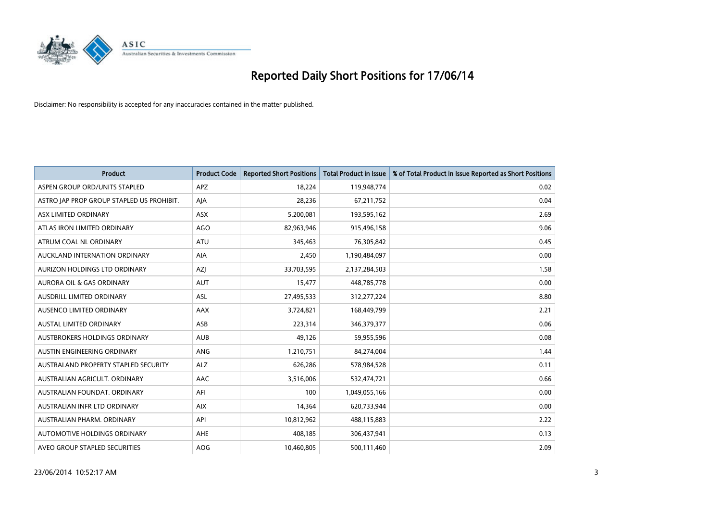

| <b>Product</b>                            | <b>Product Code</b> | <b>Reported Short Positions</b> | <b>Total Product in Issue</b> | % of Total Product in Issue Reported as Short Positions |
|-------------------------------------------|---------------------|---------------------------------|-------------------------------|---------------------------------------------------------|
| ASPEN GROUP ORD/UNITS STAPLED             | <b>APZ</b>          | 18,224                          | 119,948,774                   | 0.02                                                    |
| ASTRO JAP PROP GROUP STAPLED US PROHIBIT. | AIA                 | 28,236                          | 67,211,752                    | 0.04                                                    |
| ASX LIMITED ORDINARY                      | <b>ASX</b>          | 5,200,081                       | 193,595,162                   | 2.69                                                    |
| ATLAS IRON LIMITED ORDINARY               | <b>AGO</b>          | 82,963,946                      | 915,496,158                   | 9.06                                                    |
| ATRUM COAL NL ORDINARY                    | <b>ATU</b>          | 345,463                         | 76,305,842                    | 0.45                                                    |
| AUCKLAND INTERNATION ORDINARY             | <b>AIA</b>          | 2,450                           | 1,190,484,097                 | 0.00                                                    |
| AURIZON HOLDINGS LTD ORDINARY             | AZJ                 | 33,703,595                      | 2,137,284,503                 | 1.58                                                    |
| AURORA OIL & GAS ORDINARY                 | <b>AUT</b>          | 15,477                          | 448,785,778                   | 0.00                                                    |
| AUSDRILL LIMITED ORDINARY                 | <b>ASL</b>          | 27,495,533                      | 312,277,224                   | 8.80                                                    |
| AUSENCO LIMITED ORDINARY                  | AAX                 | 3,724,821                       | 168,449,799                   | 2.21                                                    |
| AUSTAL LIMITED ORDINARY                   | ASB                 | 223,314                         | 346,379,377                   | 0.06                                                    |
| AUSTBROKERS HOLDINGS ORDINARY             | <b>AUB</b>          | 49,126                          | 59,955,596                    | 0.08                                                    |
| AUSTIN ENGINEERING ORDINARY               | ANG                 | 1,210,751                       | 84,274,004                    | 1.44                                                    |
| AUSTRALAND PROPERTY STAPLED SECURITY      | <b>ALZ</b>          | 626,286                         | 578,984,528                   | 0.11                                                    |
| AUSTRALIAN AGRICULT, ORDINARY             | <b>AAC</b>          | 3,516,006                       | 532,474,721                   | 0.66                                                    |
| AUSTRALIAN FOUNDAT. ORDINARY              | AFI                 | 100                             | 1,049,055,166                 | 0.00                                                    |
| AUSTRALIAN INFR LTD ORDINARY              | <b>AIX</b>          | 14,364                          | 620,733,944                   | 0.00                                                    |
| AUSTRALIAN PHARM, ORDINARY                | API                 | 10,812,962                      | 488,115,883                   | 2.22                                                    |
| AUTOMOTIVE HOLDINGS ORDINARY              | AHE                 | 408,185                         | 306,437,941                   | 0.13                                                    |
| AVEO GROUP STAPLED SECURITIES             | AOG                 | 10,460,805                      | 500,111,460                   | 2.09                                                    |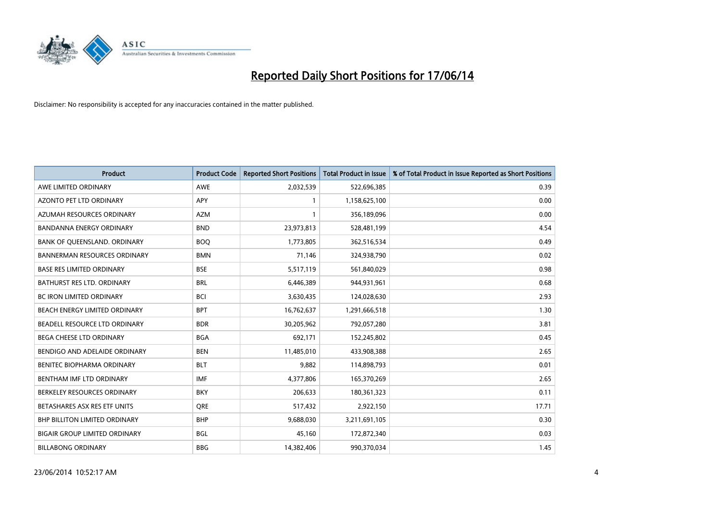

| <b>Product</b>                       | <b>Product Code</b> | <b>Reported Short Positions</b> | <b>Total Product in Issue</b> | % of Total Product in Issue Reported as Short Positions |
|--------------------------------------|---------------------|---------------------------------|-------------------------------|---------------------------------------------------------|
| AWE LIMITED ORDINARY                 | <b>AWE</b>          | 2,032,539                       | 522,696,385                   | 0.39                                                    |
| AZONTO PET LTD ORDINARY              | <b>APY</b>          | 1                               | 1,158,625,100                 | 0.00                                                    |
| AZUMAH RESOURCES ORDINARY            | <b>AZM</b>          | 1                               | 356,189,096                   | 0.00                                                    |
| BANDANNA ENERGY ORDINARY             | <b>BND</b>          | 23,973,813                      | 528,481,199                   | 4.54                                                    |
| BANK OF QUEENSLAND. ORDINARY         | <b>BOQ</b>          | 1,773,805                       | 362,516,534                   | 0.49                                                    |
| <b>BANNERMAN RESOURCES ORDINARY</b>  | <b>BMN</b>          | 71,146                          | 324,938,790                   | 0.02                                                    |
| <b>BASE RES LIMITED ORDINARY</b>     | <b>BSE</b>          | 5,517,119                       | 561,840,029                   | 0.98                                                    |
| <b>BATHURST RES LTD. ORDINARY</b>    | <b>BRL</b>          | 6,446,389                       | 944,931,961                   | 0.68                                                    |
| BC IRON LIMITED ORDINARY             | <b>BCI</b>          | 3,630,435                       | 124,028,630                   | 2.93                                                    |
| BEACH ENERGY LIMITED ORDINARY        | <b>BPT</b>          | 16,762,637                      | 1,291,666,518                 | 1.30                                                    |
| BEADELL RESOURCE LTD ORDINARY        | <b>BDR</b>          | 30,205,962                      | 792,057,280                   | 3.81                                                    |
| <b>BEGA CHEESE LTD ORDINARY</b>      | <b>BGA</b>          | 692,171                         | 152,245,802                   | 0.45                                                    |
| BENDIGO AND ADELAIDE ORDINARY        | <b>BEN</b>          | 11,485,010                      | 433,908,388                   | 2.65                                                    |
| <b>BENITEC BIOPHARMA ORDINARY</b>    | <b>BLT</b>          | 9,882                           | 114,898,793                   | 0.01                                                    |
| BENTHAM IMF LTD ORDINARY             | <b>IMF</b>          | 4,377,806                       | 165,370,269                   | 2.65                                                    |
| BERKELEY RESOURCES ORDINARY          | <b>BKY</b>          | 206,633                         | 180,361,323                   | 0.11                                                    |
| BETASHARES ASX RES ETF UNITS         | <b>ORE</b>          | 517,432                         | 2,922,150                     | 17.71                                                   |
| <b>BHP BILLITON LIMITED ORDINARY</b> | <b>BHP</b>          | 9,688,030                       | 3,211,691,105                 | 0.30                                                    |
| <b>BIGAIR GROUP LIMITED ORDINARY</b> | <b>BGL</b>          | 45,160                          | 172,872,340                   | 0.03                                                    |
| <b>BILLABONG ORDINARY</b>            | <b>BBG</b>          | 14,382,406                      | 990,370,034                   | 1.45                                                    |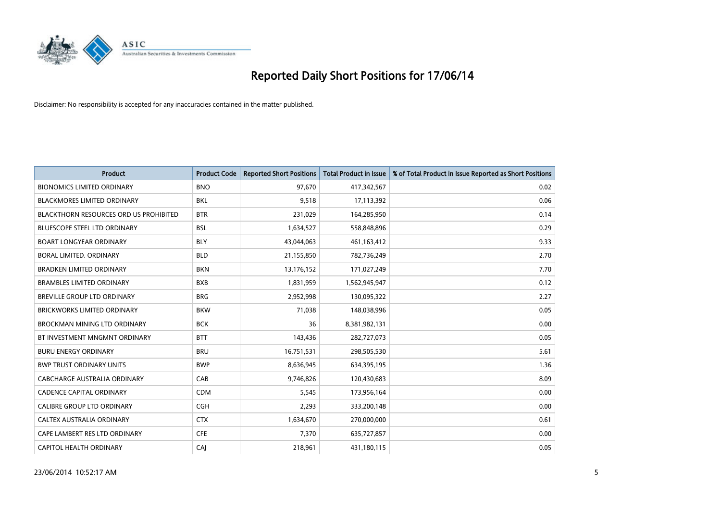

| <b>Product</b>                                | <b>Product Code</b> | <b>Reported Short Positions</b> | <b>Total Product in Issue</b> | % of Total Product in Issue Reported as Short Positions |
|-----------------------------------------------|---------------------|---------------------------------|-------------------------------|---------------------------------------------------------|
| <b>BIONOMICS LIMITED ORDINARY</b>             | <b>BNO</b>          | 97,670                          | 417,342,567                   | 0.02                                                    |
| <b>BLACKMORES LIMITED ORDINARY</b>            | <b>BKL</b>          | 9,518                           | 17,113,392                    | 0.06                                                    |
| <b>BLACKTHORN RESOURCES ORD US PROHIBITED</b> | <b>BTR</b>          | 231,029                         | 164,285,950                   | 0.14                                                    |
| BLUESCOPE STEEL LTD ORDINARY                  | <b>BSL</b>          | 1,634,527                       | 558,848,896                   | 0.29                                                    |
| <b>BOART LONGYEAR ORDINARY</b>                | <b>BLY</b>          | 43,044,063                      | 461,163,412                   | 9.33                                                    |
| BORAL LIMITED. ORDINARY                       | <b>BLD</b>          | 21,155,850                      | 782,736,249                   | 2.70                                                    |
| <b>BRADKEN LIMITED ORDINARY</b>               | <b>BKN</b>          | 13,176,152                      | 171,027,249                   | 7.70                                                    |
| <b>BRAMBLES LIMITED ORDINARY</b>              | <b>BXB</b>          | 1,831,959                       | 1,562,945,947                 | 0.12                                                    |
| <b>BREVILLE GROUP LTD ORDINARY</b>            | <b>BRG</b>          | 2,952,998                       | 130,095,322                   | 2.27                                                    |
| <b>BRICKWORKS LIMITED ORDINARY</b>            | <b>BKW</b>          | 71,038                          | 148,038,996                   | 0.05                                                    |
| BROCKMAN MINING LTD ORDINARY                  | <b>BCK</b>          | 36                              | 8,381,982,131                 | 0.00                                                    |
| BT INVESTMENT MNGMNT ORDINARY                 | <b>BTT</b>          | 143,436                         | 282,727,073                   | 0.05                                                    |
| <b>BURU ENERGY ORDINARY</b>                   | <b>BRU</b>          | 16,751,531                      | 298,505,530                   | 5.61                                                    |
| <b>BWP TRUST ORDINARY UNITS</b>               | <b>BWP</b>          | 8,636,945                       | 634,395,195                   | 1.36                                                    |
| CABCHARGE AUSTRALIA ORDINARY                  | CAB                 | 9,746,826                       | 120,430,683                   | 8.09                                                    |
| <b>CADENCE CAPITAL ORDINARY</b>               | <b>CDM</b>          | 5,545                           | 173,956,164                   | 0.00                                                    |
| <b>CALIBRE GROUP LTD ORDINARY</b>             | <b>CGH</b>          | 2,293                           | 333,200,148                   | 0.00                                                    |
| CALTEX AUSTRALIA ORDINARY                     | <b>CTX</b>          | 1,634,670                       | 270,000,000                   | 0.61                                                    |
| CAPE LAMBERT RES LTD ORDINARY                 | <b>CFE</b>          | 7,370                           | 635,727,857                   | 0.00                                                    |
| CAPITOL HEALTH ORDINARY                       | CAJ                 | 218,961                         | 431,180,115                   | 0.05                                                    |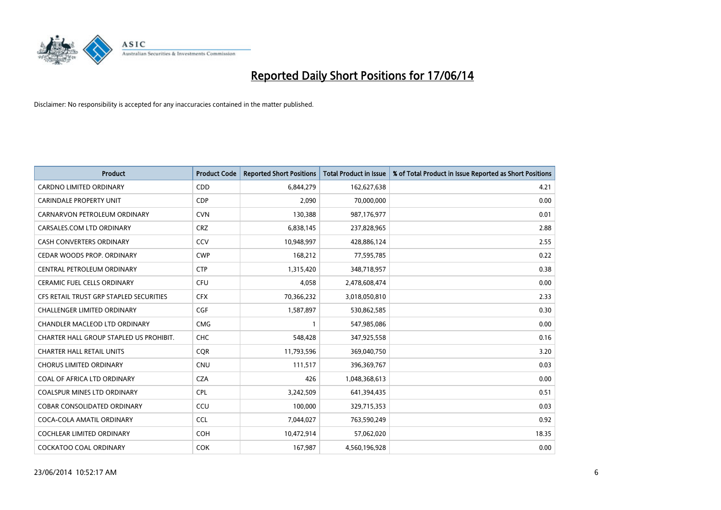

| <b>Product</b>                          | <b>Product Code</b> | <b>Reported Short Positions</b> | <b>Total Product in Issue</b> | % of Total Product in Issue Reported as Short Positions |
|-----------------------------------------|---------------------|---------------------------------|-------------------------------|---------------------------------------------------------|
| <b>CARDNO LIMITED ORDINARY</b>          | CDD                 | 6,844,279                       | 162,627,638                   | 4.21                                                    |
| <b>CARINDALE PROPERTY UNIT</b>          | <b>CDP</b>          | 2,090                           | 70,000,000                    | 0.00                                                    |
| CARNARVON PETROLEUM ORDINARY            | <b>CVN</b>          | 130,388                         | 987,176,977                   | 0.01                                                    |
| CARSALES.COM LTD ORDINARY               | <b>CRZ</b>          | 6,838,145                       | 237,828,965                   | 2.88                                                    |
| <b>CASH CONVERTERS ORDINARY</b>         | CCV                 | 10,948,997                      | 428,886,124                   | 2.55                                                    |
| CEDAR WOODS PROP. ORDINARY              | <b>CWP</b>          | 168,212                         | 77,595,785                    | 0.22                                                    |
| CENTRAL PETROLEUM ORDINARY              | <b>CTP</b>          | 1,315,420                       | 348,718,957                   | 0.38                                                    |
| <b>CERAMIC FUEL CELLS ORDINARY</b>      | <b>CFU</b>          | 4,058                           | 2,478,608,474                 | 0.00                                                    |
| CFS RETAIL TRUST GRP STAPLED SECURITIES | <b>CFX</b>          | 70,366,232                      | 3,018,050,810                 | 2.33                                                    |
| <b>CHALLENGER LIMITED ORDINARY</b>      | <b>CGF</b>          | 1,587,897                       | 530,862,585                   | 0.30                                                    |
| CHANDLER MACLEOD LTD ORDINARY           | <b>CMG</b>          | 1                               | 547,985,086                   | 0.00                                                    |
| CHARTER HALL GROUP STAPLED US PROHIBIT. | <b>CHC</b>          | 548,428                         | 347,925,558                   | 0.16                                                    |
| <b>CHARTER HALL RETAIL UNITS</b>        | <b>CQR</b>          | 11,793,596                      | 369,040,750                   | 3.20                                                    |
| <b>CHORUS LIMITED ORDINARY</b>          | <b>CNU</b>          | 111,517                         | 396,369,767                   | 0.03                                                    |
| COAL OF AFRICA LTD ORDINARY             | <b>CZA</b>          | 426                             | 1,048,368,613                 | 0.00                                                    |
| <b>COALSPUR MINES LTD ORDINARY</b>      | <b>CPL</b>          | 3,242,509                       | 641,394,435                   | 0.51                                                    |
| COBAR CONSOLIDATED ORDINARY             | CCU                 | 100,000                         | 329,715,353                   | 0.03                                                    |
| COCA-COLA AMATIL ORDINARY               | <b>CCL</b>          | 7,044,027                       | 763,590,249                   | 0.92                                                    |
| <b>COCHLEAR LIMITED ORDINARY</b>        | COH                 | 10,472,914                      | 57,062,020                    | 18.35                                                   |
| <b>COCKATOO COAL ORDINARY</b>           | <b>COK</b>          | 167,987                         | 4,560,196,928                 | 0.00                                                    |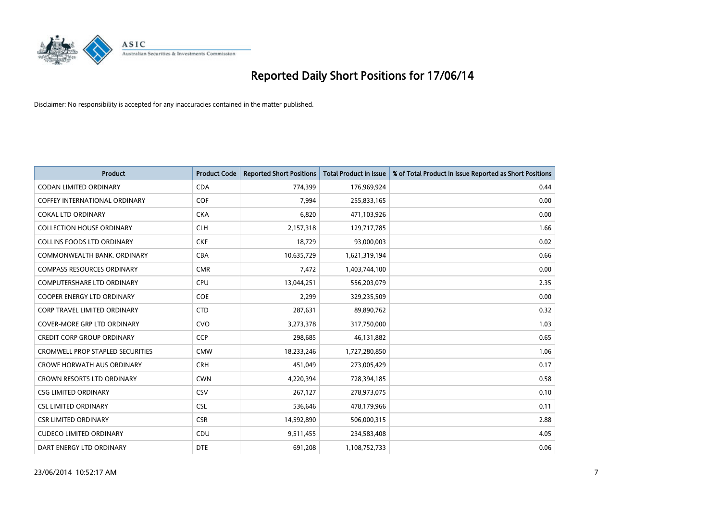

| <b>Product</b>                          | <b>Product Code</b> | <b>Reported Short Positions</b> | <b>Total Product in Issue</b> | % of Total Product in Issue Reported as Short Positions |
|-----------------------------------------|---------------------|---------------------------------|-------------------------------|---------------------------------------------------------|
| <b>CODAN LIMITED ORDINARY</b>           | <b>CDA</b>          | 774,399                         | 176,969,924                   | 0.44                                                    |
| COFFEY INTERNATIONAL ORDINARY           | <b>COF</b>          | 7,994                           | 255,833,165                   | 0.00                                                    |
| <b>COKAL LTD ORDINARY</b>               | <b>CKA</b>          | 6,820                           | 471,103,926                   | 0.00                                                    |
| <b>COLLECTION HOUSE ORDINARY</b>        | <b>CLH</b>          | 2,157,318                       | 129,717,785                   | 1.66                                                    |
| <b>COLLINS FOODS LTD ORDINARY</b>       | <b>CKF</b>          | 18,729                          | 93,000,003                    | 0.02                                                    |
| COMMONWEALTH BANK, ORDINARY             | <b>CBA</b>          | 10,635,729                      | 1,621,319,194                 | 0.66                                                    |
| <b>COMPASS RESOURCES ORDINARY</b>       | <b>CMR</b>          | 7,472                           | 1,403,744,100                 | 0.00                                                    |
| <b>COMPUTERSHARE LTD ORDINARY</b>       | <b>CPU</b>          | 13,044,251                      | 556,203,079                   | 2.35                                                    |
| <b>COOPER ENERGY LTD ORDINARY</b>       | <b>COE</b>          | 2,299                           | 329,235,509                   | 0.00                                                    |
| <b>CORP TRAVEL LIMITED ORDINARY</b>     | <b>CTD</b>          | 287,631                         | 89,890,762                    | 0.32                                                    |
| COVER-MORE GRP LTD ORDINARY             | <b>CVO</b>          | 3,273,378                       | 317,750,000                   | 1.03                                                    |
| <b>CREDIT CORP GROUP ORDINARY</b>       | <b>CCP</b>          | 298,685                         | 46,131,882                    | 0.65                                                    |
| <b>CROMWELL PROP STAPLED SECURITIES</b> | <b>CMW</b>          | 18,233,246                      | 1,727,280,850                 | 1.06                                                    |
| <b>CROWE HORWATH AUS ORDINARY</b>       | <b>CRH</b>          | 451,049                         | 273,005,429                   | 0.17                                                    |
| <b>CROWN RESORTS LTD ORDINARY</b>       | <b>CWN</b>          | 4,220,394                       | 728,394,185                   | 0.58                                                    |
| <b>CSG LIMITED ORDINARY</b>             | <b>CSV</b>          | 267,127                         | 278,973,075                   | 0.10                                                    |
| <b>CSL LIMITED ORDINARY</b>             | <b>CSL</b>          | 536,646                         | 478,179,966                   | 0.11                                                    |
| <b>CSR LIMITED ORDINARY</b>             | <b>CSR</b>          | 14,592,890                      | 506,000,315                   | 2.88                                                    |
| <b>CUDECO LIMITED ORDINARY</b>          | CDU                 | 9,511,455                       | 234,583,408                   | 4.05                                                    |
| DART ENERGY LTD ORDINARY                | <b>DTE</b>          | 691,208                         | 1,108,752,733                 | 0.06                                                    |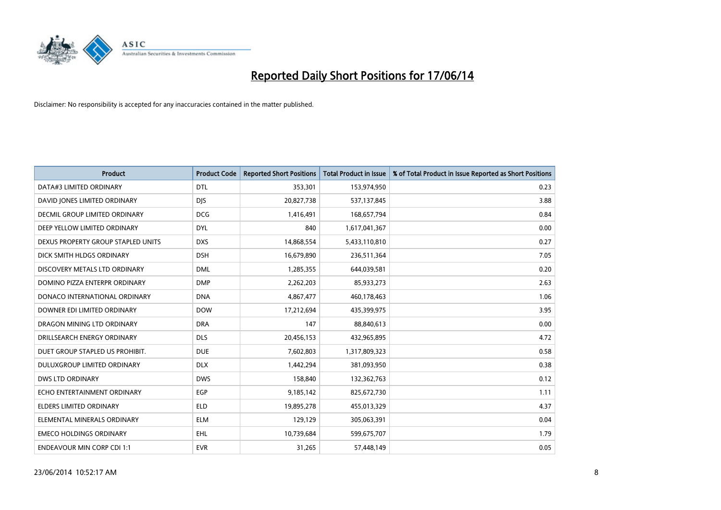

| <b>Product</b>                     | <b>Product Code</b> | <b>Reported Short Positions</b> | <b>Total Product in Issue</b> | % of Total Product in Issue Reported as Short Positions |
|------------------------------------|---------------------|---------------------------------|-------------------------------|---------------------------------------------------------|
| DATA#3 LIMITED ORDINARY            | <b>DTL</b>          | 353,301                         | 153,974,950                   | 0.23                                                    |
| DAVID JONES LIMITED ORDINARY       | <b>DIS</b>          | 20,827,738                      | 537,137,845                   | 3.88                                                    |
| DECMIL GROUP LIMITED ORDINARY      | <b>DCG</b>          | 1,416,491                       | 168,657,794                   | 0.84                                                    |
| DEEP YELLOW LIMITED ORDINARY       | <b>DYL</b>          | 840                             | 1,617,041,367                 | 0.00                                                    |
| DEXUS PROPERTY GROUP STAPLED UNITS | <b>DXS</b>          | 14,868,554                      | 5,433,110,810                 | 0.27                                                    |
| DICK SMITH HLDGS ORDINARY          | <b>DSH</b>          | 16,679,890                      | 236,511,364                   | 7.05                                                    |
| DISCOVERY METALS LTD ORDINARY      | <b>DML</b>          | 1,285,355                       | 644,039,581                   | 0.20                                                    |
| DOMINO PIZZA ENTERPR ORDINARY      | <b>DMP</b>          | 2,262,203                       | 85,933,273                    | 2.63                                                    |
| DONACO INTERNATIONAL ORDINARY      | <b>DNA</b>          | 4,867,477                       | 460,178,463                   | 1.06                                                    |
| DOWNER EDI LIMITED ORDINARY        | <b>DOW</b>          | 17,212,694                      | 435,399,975                   | 3.95                                                    |
| DRAGON MINING LTD ORDINARY         | <b>DRA</b>          | 147                             | 88,840,613                    | 0.00                                                    |
| DRILLSEARCH ENERGY ORDINARY        | <b>DLS</b>          | 20,456,153                      | 432,965,895                   | 4.72                                                    |
| DUET GROUP STAPLED US PROHIBIT.    | <b>DUE</b>          | 7,602,803                       | 1,317,809,323                 | 0.58                                                    |
| DULUXGROUP LIMITED ORDINARY        | <b>DLX</b>          | 1,442,294                       | 381,093,950                   | 0.38                                                    |
| <b>DWS LTD ORDINARY</b>            | <b>DWS</b>          | 158,840                         | 132,362,763                   | 0.12                                                    |
| ECHO ENTERTAINMENT ORDINARY        | EGP                 | 9,185,142                       | 825,672,730                   | 1.11                                                    |
| ELDERS LIMITED ORDINARY            | <b>ELD</b>          | 19,895,278                      | 455,013,329                   | 4.37                                                    |
| ELEMENTAL MINERALS ORDINARY        | <b>ELM</b>          | 129,129                         | 305,063,391                   | 0.04                                                    |
| <b>EMECO HOLDINGS ORDINARY</b>     | <b>EHL</b>          | 10,739,684                      | 599,675,707                   | 1.79                                                    |
| <b>ENDEAVOUR MIN CORP CDI 1:1</b>  | <b>EVR</b>          | 31,265                          | 57,448,149                    | 0.05                                                    |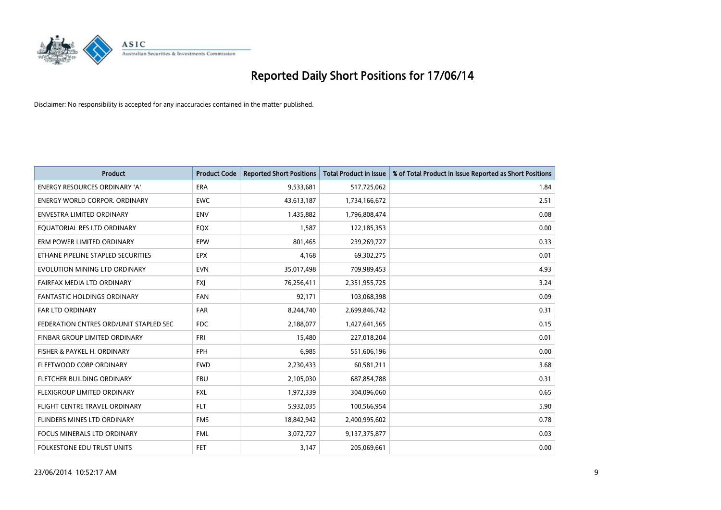

| <b>Product</b>                         | <b>Product Code</b> | <b>Reported Short Positions</b> | <b>Total Product in Issue</b> | % of Total Product in Issue Reported as Short Positions |
|----------------------------------------|---------------------|---------------------------------|-------------------------------|---------------------------------------------------------|
| <b>ENERGY RESOURCES ORDINARY 'A'</b>   | <b>ERA</b>          | 9,533,681                       | 517,725,062                   | 1.84                                                    |
| <b>ENERGY WORLD CORPOR. ORDINARY</b>   | <b>EWC</b>          | 43,613,187                      | 1,734,166,672                 | 2.51                                                    |
| ENVESTRA LIMITED ORDINARY              | <b>ENV</b>          | 1,435,882                       | 1,796,808,474                 | 0.08                                                    |
| EQUATORIAL RES LTD ORDINARY            | EQX                 | 1,587                           | 122,185,353                   | 0.00                                                    |
| ERM POWER LIMITED ORDINARY             | EPW                 | 801,465                         | 239,269,727                   | 0.33                                                    |
| ETHANE PIPELINE STAPLED SECURITIES     | <b>EPX</b>          | 4,168                           | 69,302,275                    | 0.01                                                    |
| EVOLUTION MINING LTD ORDINARY          | <b>EVN</b>          | 35,017,498                      | 709,989,453                   | 4.93                                                    |
| FAIRFAX MEDIA LTD ORDINARY             | FXJ                 | 76,256,411                      | 2,351,955,725                 | 3.24                                                    |
| <b>FANTASTIC HOLDINGS ORDINARY</b>     | <b>FAN</b>          | 92,171                          | 103,068,398                   | 0.09                                                    |
| <b>FAR LTD ORDINARY</b>                | <b>FAR</b>          | 8,244,740                       | 2,699,846,742                 | 0.31                                                    |
| FEDERATION CNTRES ORD/UNIT STAPLED SEC | FDC                 | 2,188,077                       | 1,427,641,565                 | 0.15                                                    |
| <b>FINBAR GROUP LIMITED ORDINARY</b>   | <b>FRI</b>          | 15,480                          | 227,018,204                   | 0.01                                                    |
| FISHER & PAYKEL H. ORDINARY            | <b>FPH</b>          | 6,985                           | 551,606,196                   | 0.00                                                    |
| FLEETWOOD CORP ORDINARY                | <b>FWD</b>          | 2,230,433                       | 60,581,211                    | 3.68                                                    |
| FLETCHER BUILDING ORDINARY             | <b>FBU</b>          | 2,105,030                       | 687,854,788                   | 0.31                                                    |
| FLEXIGROUP LIMITED ORDINARY            | <b>FXL</b>          | 1,972,339                       | 304,096,060                   | 0.65                                                    |
| FLIGHT CENTRE TRAVEL ORDINARY          | <b>FLT</b>          | 5,932,035                       | 100,566,954                   | 5.90                                                    |
| FLINDERS MINES LTD ORDINARY            | <b>FMS</b>          | 18,842,942                      | 2,400,995,602                 | 0.78                                                    |
| <b>FOCUS MINERALS LTD ORDINARY</b>     | <b>FML</b>          | 3,072,727                       | 9,137,375,877                 | 0.03                                                    |
| FOLKESTONE EDU TRUST UNITS             | FET                 | 3,147                           | 205,069,661                   | 0.00                                                    |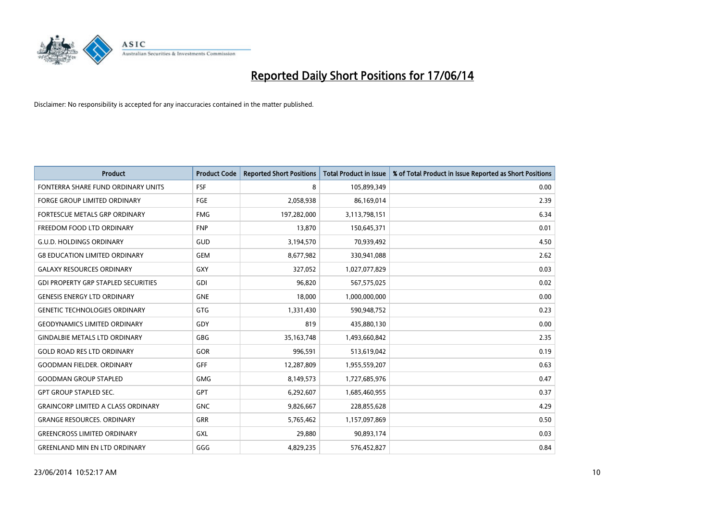

| <b>Product</b>                             | <b>Product Code</b> | <b>Reported Short Positions</b> | <b>Total Product in Issue</b> | % of Total Product in Issue Reported as Short Positions |
|--------------------------------------------|---------------------|---------------------------------|-------------------------------|---------------------------------------------------------|
| FONTERRA SHARE FUND ORDINARY UNITS         | <b>FSF</b>          | 8                               | 105,899,349                   | 0.00                                                    |
| <b>FORGE GROUP LIMITED ORDINARY</b>        | <b>FGE</b>          | 2,058,938                       | 86,169,014                    | 2.39                                                    |
| <b>FORTESCUE METALS GRP ORDINARY</b>       | <b>FMG</b>          | 197,282,000                     | 3,113,798,151                 | 6.34                                                    |
| FREEDOM FOOD LTD ORDINARY                  | <b>FNP</b>          | 13,870                          | 150,645,371                   | 0.01                                                    |
| <b>G.U.D. HOLDINGS ORDINARY</b>            | GUD                 | 3,194,570                       | 70,939,492                    | 4.50                                                    |
| <b>G8 EDUCATION LIMITED ORDINARY</b>       | <b>GEM</b>          | 8,677,982                       | 330,941,088                   | 2.62                                                    |
| <b>GALAXY RESOURCES ORDINARY</b>           | <b>GXY</b>          | 327,052                         | 1,027,077,829                 | 0.03                                                    |
| <b>GDI PROPERTY GRP STAPLED SECURITIES</b> | GDI                 | 96,820                          | 567,575,025                   | 0.02                                                    |
| <b>GENESIS ENERGY LTD ORDINARY</b>         | <b>GNE</b>          | 18,000                          | 1,000,000,000                 | 0.00                                                    |
| <b>GENETIC TECHNOLOGIES ORDINARY</b>       | <b>GTG</b>          | 1,331,430                       | 590,948,752                   | 0.23                                                    |
| <b>GEODYNAMICS LIMITED ORDINARY</b>        | GDY                 | 819                             | 435,880,130                   | 0.00                                                    |
| <b>GINDALBIE METALS LTD ORDINARY</b>       | GBG                 | 35, 163, 748                    | 1,493,660,842                 | 2.35                                                    |
| <b>GOLD ROAD RES LTD ORDINARY</b>          | <b>GOR</b>          | 996,591                         | 513,619,042                   | 0.19                                                    |
| <b>GOODMAN FIELDER, ORDINARY</b>           | <b>GFF</b>          | 12,287,809                      | 1,955,559,207                 | 0.63                                                    |
| <b>GOODMAN GROUP STAPLED</b>               | <b>GMG</b>          | 8,149,573                       | 1,727,685,976                 | 0.47                                                    |
| <b>GPT GROUP STAPLED SEC.</b>              | GPT                 | 6,292,607                       | 1,685,460,955                 | 0.37                                                    |
| <b>GRAINCORP LIMITED A CLASS ORDINARY</b>  | <b>GNC</b>          | 9,826,667                       | 228,855,628                   | 4.29                                                    |
| <b>GRANGE RESOURCES. ORDINARY</b>          | <b>GRR</b>          | 5,765,462                       | 1,157,097,869                 | 0.50                                                    |
| <b>GREENCROSS LIMITED ORDINARY</b>         | <b>GXL</b>          | 29,880                          | 90,893,174                    | 0.03                                                    |
| <b>GREENLAND MIN EN LTD ORDINARY</b>       | GGG                 | 4,829,235                       | 576,452,827                   | 0.84                                                    |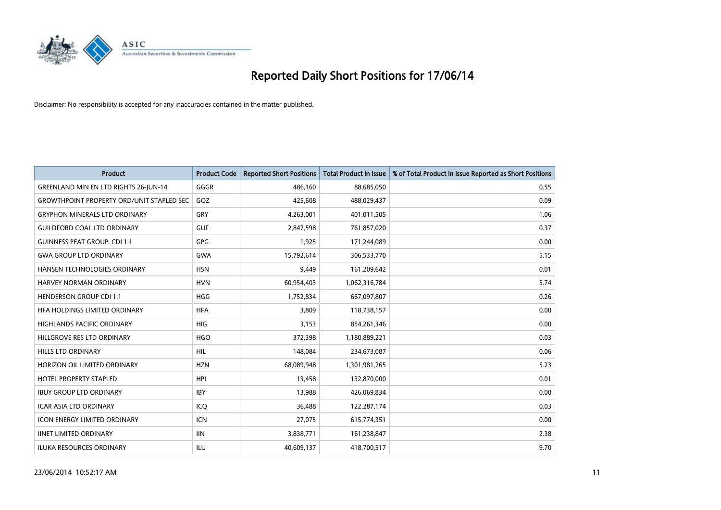

| <b>Product</b>                                   | <b>Product Code</b> | <b>Reported Short Positions</b> | <b>Total Product in Issue</b> | % of Total Product in Issue Reported as Short Positions |
|--------------------------------------------------|---------------------|---------------------------------|-------------------------------|---------------------------------------------------------|
| GREENLAND MIN EN LTD RIGHTS 26-JUN-14            | GGGR                | 486,160                         | 88,685,050                    | 0.55                                                    |
| <b>GROWTHPOINT PROPERTY ORD/UNIT STAPLED SEC</b> | GOZ                 | 425,608                         | 488,029,437                   | 0.09                                                    |
| <b>GRYPHON MINERALS LTD ORDINARY</b>             | GRY                 | 4,263,001                       | 401,011,505                   | 1.06                                                    |
| <b>GUILDFORD COAL LTD ORDINARY</b>               | <b>GUF</b>          | 2,847,598                       | 761,857,020                   | 0.37                                                    |
| <b>GUINNESS PEAT GROUP. CDI 1:1</b>              | <b>GPG</b>          | 1,925                           | 171,244,089                   | 0.00                                                    |
| <b>GWA GROUP LTD ORDINARY</b>                    | <b>GWA</b>          | 15,792,614                      | 306,533,770                   | 5.15                                                    |
| HANSEN TECHNOLOGIES ORDINARY                     | <b>HSN</b>          | 9,449                           | 161,209,642                   | 0.01                                                    |
| <b>HARVEY NORMAN ORDINARY</b>                    | <b>HVN</b>          | 60,954,403                      | 1,062,316,784                 | 5.74                                                    |
| <b>HENDERSON GROUP CDI 1:1</b>                   | <b>HGG</b>          | 1,752,834                       | 667,097,807                   | 0.26                                                    |
| HEA HOLDINGS LIMITED ORDINARY                    | <b>HFA</b>          | 3,809                           | 118,738,157                   | 0.00                                                    |
| HIGHLANDS PACIFIC ORDINARY                       | <b>HIG</b>          | 3,153                           | 854,261,346                   | 0.00                                                    |
| HILLGROVE RES LTD ORDINARY                       | <b>HGO</b>          | 372,398                         | 1,180,889,221                 | 0.03                                                    |
| <b>HILLS LTD ORDINARY</b>                        | <b>HIL</b>          | 148,084                         | 234,673,087                   | 0.06                                                    |
| HORIZON OIL LIMITED ORDINARY                     | <b>HZN</b>          | 68,089,948                      | 1,301,981,265                 | 5.23                                                    |
| <b>HOTEL PROPERTY STAPLED</b>                    | <b>HPI</b>          | 13,458                          | 132,870,000                   | 0.01                                                    |
| <b>IBUY GROUP LTD ORDINARY</b>                   | <b>IBY</b>          | 13,988                          | 426,069,834                   | 0.00                                                    |
| <b>ICAR ASIA LTD ORDINARY</b>                    | ICQ                 | 36,488                          | 122,287,174                   | 0.03                                                    |
| <b>ICON ENERGY LIMITED ORDINARY</b>              | <b>ICN</b>          | 27,075                          | 615,774,351                   | 0.00                                                    |
| <b>IINET LIMITED ORDINARY</b>                    | <b>IIN</b>          | 3,838,771                       | 161,238,847                   | 2.38                                                    |
| <b>ILUKA RESOURCES ORDINARY</b>                  | ILU                 | 40,609,137                      | 418,700,517                   | 9.70                                                    |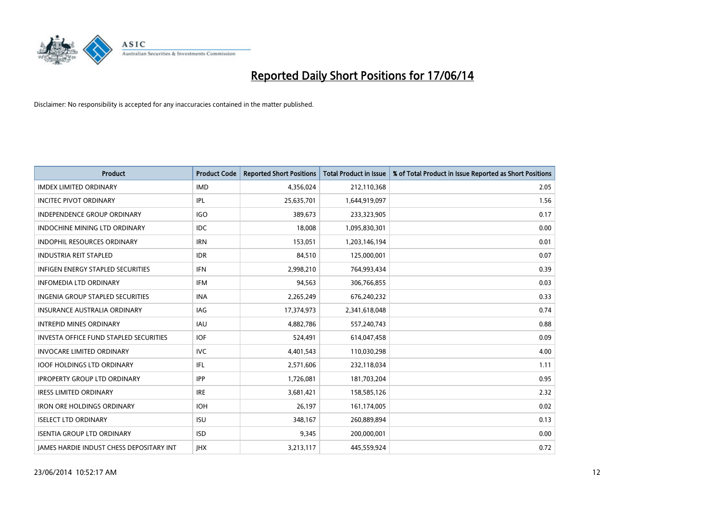

| <b>Product</b>                                  | <b>Product Code</b> | <b>Reported Short Positions</b> | <b>Total Product in Issue</b> | % of Total Product in Issue Reported as Short Positions |
|-------------------------------------------------|---------------------|---------------------------------|-------------------------------|---------------------------------------------------------|
| <b>IMDEX LIMITED ORDINARY</b>                   | <b>IMD</b>          | 4,356,024                       | 212,110,368                   | 2.05                                                    |
| <b>INCITEC PIVOT ORDINARY</b>                   | IPL                 | 25,635,701                      | 1,644,919,097                 | 1.56                                                    |
| <b>INDEPENDENCE GROUP ORDINARY</b>              | <b>IGO</b>          | 389,673                         | 233,323,905                   | 0.17                                                    |
| INDOCHINE MINING LTD ORDINARY                   | <b>IDC</b>          | 18,008                          | 1,095,830,301                 | 0.00                                                    |
| <b>INDOPHIL RESOURCES ORDINARY</b>              | <b>IRN</b>          | 153,051                         | 1,203,146,194                 | 0.01                                                    |
| <b>INDUSTRIA REIT STAPLED</b>                   | <b>IDR</b>          | 84,510                          | 125,000,001                   | 0.07                                                    |
| <b>INFIGEN ENERGY STAPLED SECURITIES</b>        | <b>IFN</b>          | 2,998,210                       | 764,993,434                   | 0.39                                                    |
| <b>INFOMEDIA LTD ORDINARY</b>                   | <b>IFM</b>          | 94,563                          | 306,766,855                   | 0.03                                                    |
| INGENIA GROUP STAPLED SECURITIES                | <b>INA</b>          | 2,265,249                       | 676,240,232                   | 0.33                                                    |
| INSURANCE AUSTRALIA ORDINARY                    | <b>IAG</b>          | 17,374,973                      | 2,341,618,048                 | 0.74                                                    |
| <b>INTREPID MINES ORDINARY</b>                  | <b>IAU</b>          | 4,882,786                       | 557,240,743                   | 0.88                                                    |
| <b>INVESTA OFFICE FUND STAPLED SECURITIES</b>   | <b>IOF</b>          | 524,491                         | 614,047,458                   | 0.09                                                    |
| <b>INVOCARE LIMITED ORDINARY</b>                | <b>IVC</b>          | 4,401,543                       | 110,030,298                   | 4.00                                                    |
| <b>IOOF HOLDINGS LTD ORDINARY</b>               | IFL                 | 2,571,606                       | 232,118,034                   | 1.11                                                    |
| <b>IPROPERTY GROUP LTD ORDINARY</b>             | <b>IPP</b>          | 1,726,081                       | 181,703,204                   | 0.95                                                    |
| <b>IRESS LIMITED ORDINARY</b>                   | <b>IRE</b>          | 3,681,421                       | 158,585,126                   | 2.32                                                    |
| <b>IRON ORE HOLDINGS ORDINARY</b>               | <b>IOH</b>          | 26,197                          | 161,174,005                   | 0.02                                                    |
| <b>ISELECT LTD ORDINARY</b>                     | <b>ISU</b>          | 348,167                         | 260,889,894                   | 0.13                                                    |
| <b>ISENTIA GROUP LTD ORDINARY</b>               | <b>ISD</b>          | 9,345                           | 200,000,001                   | 0.00                                                    |
| <b>IAMES HARDIE INDUST CHESS DEPOSITARY INT</b> | <b>IHX</b>          | 3,213,117                       | 445,559,924                   | 0.72                                                    |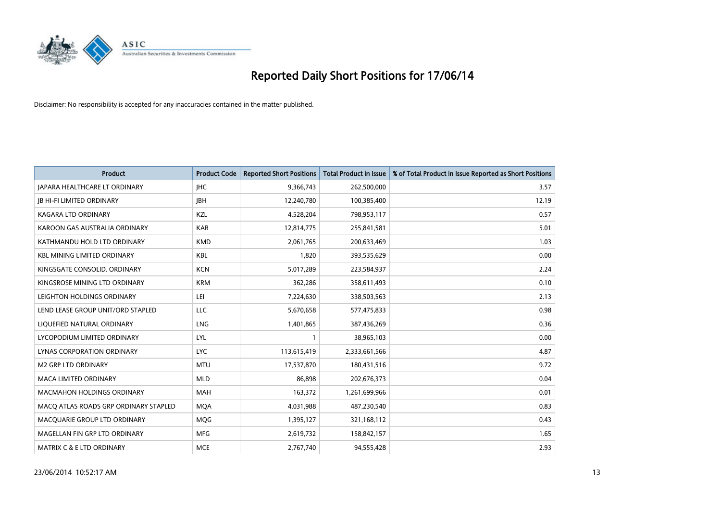

| <b>Product</b>                        | <b>Product Code</b> | <b>Reported Short Positions</b> | <b>Total Product in Issue</b> | % of Total Product in Issue Reported as Short Positions |
|---------------------------------------|---------------------|---------------------------------|-------------------------------|---------------------------------------------------------|
| <b>JAPARA HEALTHCARE LT ORDINARY</b>  | <b>IHC</b>          | 9,366,743                       | 262,500,000                   | 3.57                                                    |
| <b>JB HI-FI LIMITED ORDINARY</b>      | <b>JBH</b>          | 12,240,780                      | 100,385,400                   | 12.19                                                   |
| <b>KAGARA LTD ORDINARY</b>            | KZL                 | 4,528,204                       | 798,953,117                   | 0.57                                                    |
| KAROON GAS AUSTRALIA ORDINARY         | <b>KAR</b>          | 12,814,775                      | 255,841,581                   | 5.01                                                    |
| KATHMANDU HOLD LTD ORDINARY           | <b>KMD</b>          | 2,061,765                       | 200,633,469                   | 1.03                                                    |
| <b>KBL MINING LIMITED ORDINARY</b>    | <b>KBL</b>          | 1,820                           | 393,535,629                   | 0.00                                                    |
| KINGSGATE CONSOLID. ORDINARY          | <b>KCN</b>          | 5,017,289                       | 223,584,937                   | 2.24                                                    |
| KINGSROSE MINING LTD ORDINARY         | <b>KRM</b>          | 362,286                         | 358,611,493                   | 0.10                                                    |
| LEIGHTON HOLDINGS ORDINARY            | LEI                 | 7,224,630                       | 338,503,563                   | 2.13                                                    |
| LEND LEASE GROUP UNIT/ORD STAPLED     | <b>LLC</b>          | 5,670,658                       | 577,475,833                   | 0.98                                                    |
| LIQUEFIED NATURAL ORDINARY            | <b>LNG</b>          | 1,401,865                       | 387,436,269                   | 0.36                                                    |
| LYCOPODIUM LIMITED ORDINARY           | LYL                 | 1                               | 38,965,103                    | 0.00                                                    |
| LYNAS CORPORATION ORDINARY            | <b>LYC</b>          | 113,615,419                     | 2,333,661,566                 | 4.87                                                    |
| <b>M2 GRP LTD ORDINARY</b>            | <b>MTU</b>          | 17,537,870                      | 180,431,516                   | 9.72                                                    |
| <b>MACA LIMITED ORDINARY</b>          | <b>MLD</b>          | 86,898                          | 202,676,373                   | 0.04                                                    |
| MACMAHON HOLDINGS ORDINARY            | MAH                 | 163,372                         | 1,261,699,966                 | 0.01                                                    |
| MACO ATLAS ROADS GRP ORDINARY STAPLED | <b>MQA</b>          | 4,031,988                       | 487,230,540                   | 0.83                                                    |
| MACQUARIE GROUP LTD ORDINARY          | MQG                 | 1,395,127                       | 321,168,112                   | 0.43                                                    |
| MAGELLAN FIN GRP LTD ORDINARY         | <b>MFG</b>          | 2,619,732                       | 158,842,157                   | 1.65                                                    |
| <b>MATRIX C &amp; E LTD ORDINARY</b>  | <b>MCE</b>          | 2,767,740                       | 94,555,428                    | 2.93                                                    |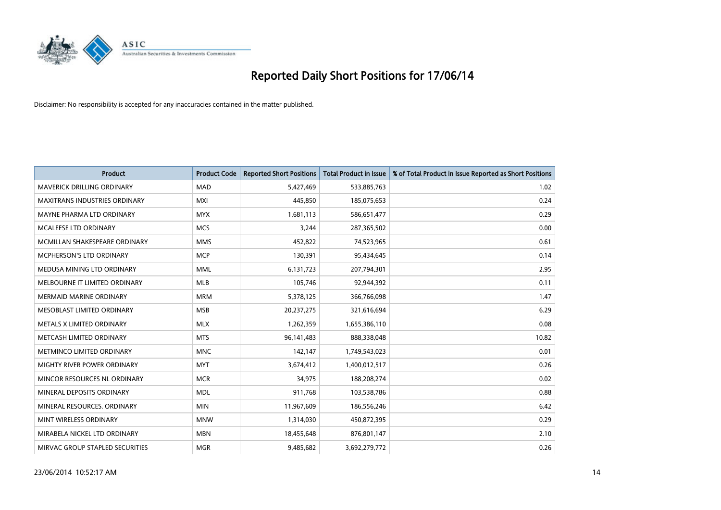

| <b>Product</b>                    | <b>Product Code</b> | <b>Reported Short Positions</b> | <b>Total Product in Issue</b> | % of Total Product in Issue Reported as Short Positions |
|-----------------------------------|---------------------|---------------------------------|-------------------------------|---------------------------------------------------------|
| <b>MAVERICK DRILLING ORDINARY</b> | <b>MAD</b>          | 5,427,469                       | 533,885,763                   | 1.02                                                    |
| MAXITRANS INDUSTRIES ORDINARY     | MXI                 | 445,850                         | 185,075,653                   | 0.24                                                    |
| MAYNE PHARMA LTD ORDINARY         | <b>MYX</b>          | 1,681,113                       | 586,651,477                   | 0.29                                                    |
| MCALEESE LTD ORDINARY             | <b>MCS</b>          | 3,244                           | 287,365,502                   | 0.00                                                    |
| MCMILLAN SHAKESPEARE ORDINARY     | <b>MMS</b>          | 452,822                         | 74,523,965                    | 0.61                                                    |
| MCPHERSON'S LTD ORDINARY          | <b>MCP</b>          | 130,391                         | 95,434,645                    | 0.14                                                    |
| MEDUSA MINING LTD ORDINARY        | <b>MML</b>          | 6,131,723                       | 207,794,301                   | 2.95                                                    |
| MELBOURNE IT LIMITED ORDINARY     | <b>MLB</b>          | 105,746                         | 92,944,392                    | 0.11                                                    |
| <b>MERMAID MARINE ORDINARY</b>    | <b>MRM</b>          | 5,378,125                       | 366,766,098                   | 1.47                                                    |
| MESOBLAST LIMITED ORDINARY        | <b>MSB</b>          | 20,237,275                      | 321,616,694                   | 6.29                                                    |
| METALS X LIMITED ORDINARY         | <b>MLX</b>          | 1,262,359                       | 1,655,386,110                 | 0.08                                                    |
| METCASH LIMITED ORDINARY          | <b>MTS</b>          | 96,141,483                      | 888,338,048                   | 10.82                                                   |
| METMINCO LIMITED ORDINARY         | <b>MNC</b>          | 142,147                         | 1,749,543,023                 | 0.01                                                    |
| MIGHTY RIVER POWER ORDINARY       | <b>MYT</b>          | 3,674,412                       | 1,400,012,517                 | 0.26                                                    |
| MINCOR RESOURCES NL ORDINARY      | <b>MCR</b>          | 34,975                          | 188,208,274                   | 0.02                                                    |
| MINERAL DEPOSITS ORDINARY         | <b>MDL</b>          | 911,768                         | 103,538,786                   | 0.88                                                    |
| MINERAL RESOURCES. ORDINARY       | <b>MIN</b>          | 11,967,609                      | 186,556,246                   | 6.42                                                    |
| MINT WIRELESS ORDINARY            | <b>MNW</b>          | 1,314,030                       | 450,872,395                   | 0.29                                                    |
| MIRABELA NICKEL LTD ORDINARY      | <b>MBN</b>          | 18,455,648                      | 876,801,147                   | 2.10                                                    |
| MIRVAC GROUP STAPLED SECURITIES   | <b>MGR</b>          | 9,485,682                       | 3,692,279,772                 | 0.26                                                    |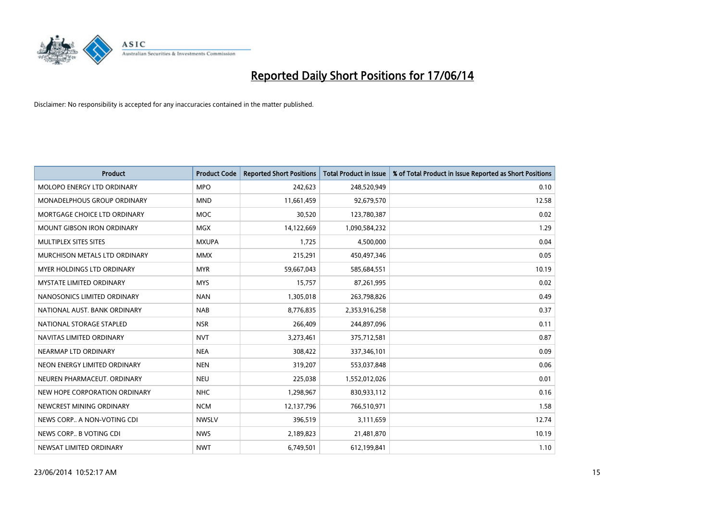

| <b>Product</b>                    | <b>Product Code</b> | <b>Reported Short Positions</b> | <b>Total Product in Issue</b> | % of Total Product in Issue Reported as Short Positions |
|-----------------------------------|---------------------|---------------------------------|-------------------------------|---------------------------------------------------------|
| MOLOPO ENERGY LTD ORDINARY        | <b>MPO</b>          | 242,623                         | 248,520,949                   | 0.10                                                    |
| MONADELPHOUS GROUP ORDINARY       | <b>MND</b>          | 11,661,459                      | 92,679,570                    | 12.58                                                   |
| MORTGAGE CHOICE LTD ORDINARY      | <b>MOC</b>          | 30,520                          | 123,780,387                   | 0.02                                                    |
| MOUNT GIBSON IRON ORDINARY        | <b>MGX</b>          | 14,122,669                      | 1,090,584,232                 | 1.29                                                    |
| MULTIPLEX SITES SITES             | <b>MXUPA</b>        | 1,725                           | 4,500,000                     | 0.04                                                    |
| MURCHISON METALS LTD ORDINARY     | <b>MMX</b>          | 215,291                         | 450,497,346                   | 0.05                                                    |
| <b>MYER HOLDINGS LTD ORDINARY</b> | <b>MYR</b>          | 59,667,043                      | 585,684,551                   | 10.19                                                   |
| <b>MYSTATE LIMITED ORDINARY</b>   | <b>MYS</b>          | 15,757                          | 87,261,995                    | 0.02                                                    |
| NANOSONICS LIMITED ORDINARY       | <b>NAN</b>          | 1,305,018                       | 263,798,826                   | 0.49                                                    |
| NATIONAL AUST, BANK ORDINARY      | <b>NAB</b>          | 8,776,835                       | 2,353,916,258                 | 0.37                                                    |
| NATIONAL STORAGE STAPLED          | <b>NSR</b>          | 266,409                         | 244,897,096                   | 0.11                                                    |
| NAVITAS LIMITED ORDINARY          | <b>NVT</b>          | 3,273,461                       | 375,712,581                   | 0.87                                                    |
| NEARMAP LTD ORDINARY              | <b>NEA</b>          | 308,422                         | 337,346,101                   | 0.09                                                    |
| NEON ENERGY LIMITED ORDINARY      | <b>NEN</b>          | 319,207                         | 553,037,848                   | 0.06                                                    |
| NEUREN PHARMACEUT, ORDINARY       | <b>NEU</b>          | 225,038                         | 1,552,012,026                 | 0.01                                                    |
| NEW HOPE CORPORATION ORDINARY     | <b>NHC</b>          | 1,298,967                       | 830,933,112                   | 0.16                                                    |
| NEWCREST MINING ORDINARY          | <b>NCM</b>          | 12,137,796                      | 766,510,971                   | 1.58                                                    |
| NEWS CORP A NON-VOTING CDI        | <b>NWSLV</b>        | 396,519                         | 3,111,659                     | 12.74                                                   |
| NEWS CORP B VOTING CDI            | <b>NWS</b>          | 2,189,823                       | 21,481,870                    | 10.19                                                   |
| NEWSAT LIMITED ORDINARY           | <b>NWT</b>          | 6,749,501                       | 612,199,841                   | 1.10                                                    |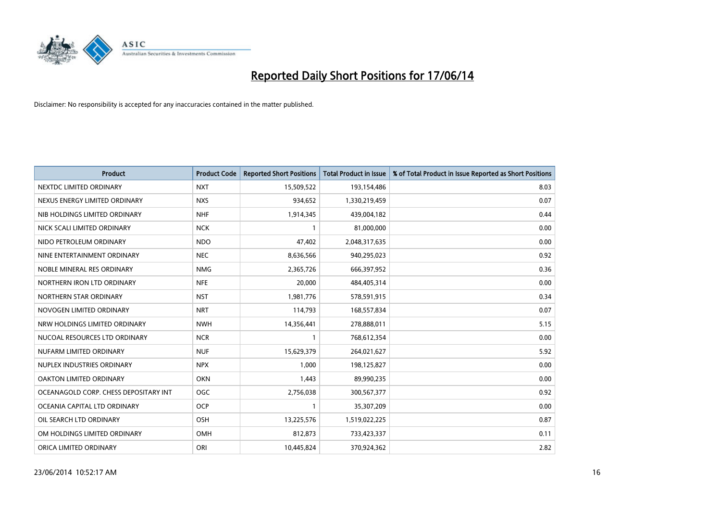

| <b>Product</b>                        | <b>Product Code</b> | <b>Reported Short Positions</b> | <b>Total Product in Issue</b> | % of Total Product in Issue Reported as Short Positions |
|---------------------------------------|---------------------|---------------------------------|-------------------------------|---------------------------------------------------------|
| NEXTDC LIMITED ORDINARY               | <b>NXT</b>          | 15,509,522                      | 193,154,486                   | 8.03                                                    |
| NEXUS ENERGY LIMITED ORDINARY         | <b>NXS</b>          | 934,652                         | 1,330,219,459                 | 0.07                                                    |
| NIB HOLDINGS LIMITED ORDINARY         | <b>NHF</b>          | 1,914,345                       | 439,004,182                   | 0.44                                                    |
| NICK SCALI LIMITED ORDINARY           | <b>NCK</b>          | 1                               | 81,000,000                    | 0.00                                                    |
| NIDO PETROLEUM ORDINARY               | <b>NDO</b>          | 47,402                          | 2,048,317,635                 | 0.00                                                    |
| NINE ENTERTAINMENT ORDINARY           | <b>NEC</b>          | 8,636,566                       | 940,295,023                   | 0.92                                                    |
| NOBLE MINERAL RES ORDINARY            | <b>NMG</b>          | 2,365,726                       | 666,397,952                   | 0.36                                                    |
| NORTHERN IRON LTD ORDINARY            | <b>NFE</b>          | 20,000                          | 484,405,314                   | 0.00                                                    |
| NORTHERN STAR ORDINARY                | <b>NST</b>          | 1,981,776                       | 578,591,915                   | 0.34                                                    |
| NOVOGEN LIMITED ORDINARY              | <b>NRT</b>          | 114,793                         | 168,557,834                   | 0.07                                                    |
| NRW HOLDINGS LIMITED ORDINARY         | <b>NWH</b>          | 14,356,441                      | 278,888,011                   | 5.15                                                    |
| NUCOAL RESOURCES LTD ORDINARY         | <b>NCR</b>          | 1                               | 768,612,354                   | 0.00                                                    |
| NUFARM LIMITED ORDINARY               | <b>NUF</b>          | 15,629,379                      | 264,021,627                   | 5.92                                                    |
| NUPLEX INDUSTRIES ORDINARY            | <b>NPX</b>          | 1,000                           | 198,125,827                   | 0.00                                                    |
| <b>OAKTON LIMITED ORDINARY</b>        | <b>OKN</b>          | 1,443                           | 89,990,235                    | 0.00                                                    |
| OCEANAGOLD CORP. CHESS DEPOSITARY INT | <b>OGC</b>          | 2,756,038                       | 300,567,377                   | 0.92                                                    |
| OCEANIA CAPITAL LTD ORDINARY          | <b>OCP</b>          | 1                               | 35,307,209                    | 0.00                                                    |
| OIL SEARCH LTD ORDINARY               | OSH                 | 13,225,576                      | 1,519,022,225                 | 0.87                                                    |
| OM HOLDINGS LIMITED ORDINARY          | <b>OMH</b>          | 812,873                         | 733,423,337                   | 0.11                                                    |
| ORICA LIMITED ORDINARY                | ORI                 | 10,445,824                      | 370,924,362                   | 2.82                                                    |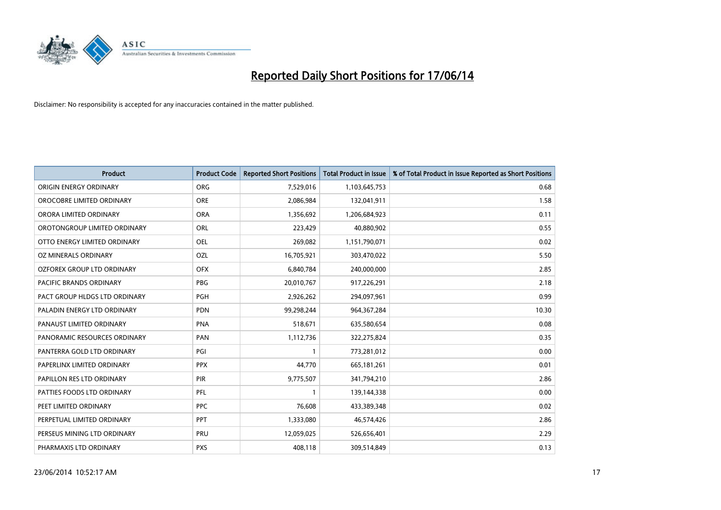

| <b>Product</b>                | <b>Product Code</b> | <b>Reported Short Positions</b> | <b>Total Product in Issue</b> | % of Total Product in Issue Reported as Short Positions |
|-------------------------------|---------------------|---------------------------------|-------------------------------|---------------------------------------------------------|
| ORIGIN ENERGY ORDINARY        | <b>ORG</b>          | 7,529,016                       | 1,103,645,753                 | 0.68                                                    |
| OROCOBRE LIMITED ORDINARY     | <b>ORE</b>          | 2,086,984                       | 132,041,911                   | 1.58                                                    |
| ORORA LIMITED ORDINARY        | <b>ORA</b>          | 1,356,692                       | 1,206,684,923                 | 0.11                                                    |
| OROTONGROUP LIMITED ORDINARY  | ORL                 | 223,429                         | 40,880,902                    | 0.55                                                    |
| OTTO ENERGY LIMITED ORDINARY  | <b>OEL</b>          | 269,082                         | 1,151,790,071                 | 0.02                                                    |
| <b>OZ MINERALS ORDINARY</b>   | <b>OZL</b>          | 16,705,921                      | 303,470,022                   | 5.50                                                    |
| OZFOREX GROUP LTD ORDINARY    | <b>OFX</b>          | 6,840,784                       | 240,000,000                   | 2.85                                                    |
| PACIFIC BRANDS ORDINARY       | <b>PBG</b>          | 20,010,767                      | 917,226,291                   | 2.18                                                    |
| PACT GROUP HLDGS LTD ORDINARY | <b>PGH</b>          | 2,926,262                       | 294,097,961                   | 0.99                                                    |
| PALADIN ENERGY LTD ORDINARY   | <b>PDN</b>          | 99,298,244                      | 964, 367, 284                 | 10.30                                                   |
| PANAUST LIMITED ORDINARY      | <b>PNA</b>          | 518,671                         | 635,580,654                   | 0.08                                                    |
| PANORAMIC RESOURCES ORDINARY  | PAN                 | 1,112,736                       | 322,275,824                   | 0.35                                                    |
| PANTERRA GOLD LTD ORDINARY    | PGI                 | $\mathbf{1}$                    | 773,281,012                   | 0.00                                                    |
| PAPERLINX LIMITED ORDINARY    | <b>PPX</b>          | 44,770                          | 665, 181, 261                 | 0.01                                                    |
| PAPILLON RES LTD ORDINARY     | PIR                 | 9,775,507                       | 341,794,210                   | 2.86                                                    |
| PATTIES FOODS LTD ORDINARY    | PFL                 |                                 | 139,144,338                   | 0.00                                                    |
| PEET LIMITED ORDINARY         | <b>PPC</b>          | 76,608                          | 433,389,348                   | 0.02                                                    |
| PERPETUAL LIMITED ORDINARY    | PPT                 | 1,333,080                       | 46,574,426                    | 2.86                                                    |
| PERSEUS MINING LTD ORDINARY   | PRU                 | 12,059,025                      | 526,656,401                   | 2.29                                                    |
| PHARMAXIS LTD ORDINARY        | <b>PXS</b>          | 408,118                         | 309,514,849                   | 0.13                                                    |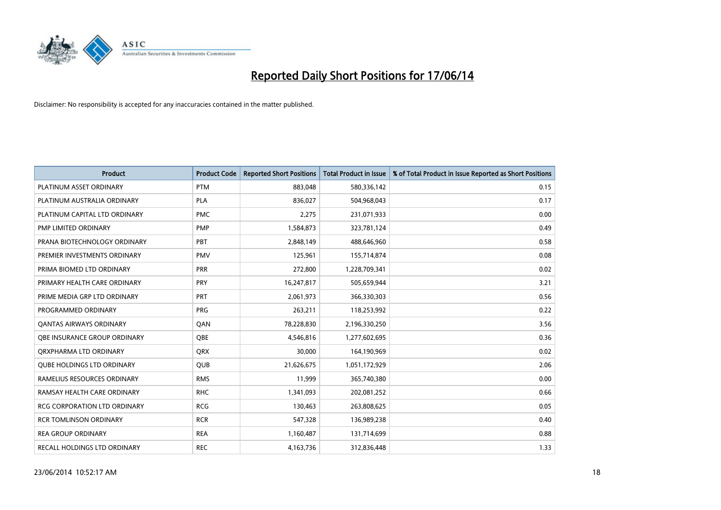

| <b>Product</b>                      | <b>Product Code</b> | <b>Reported Short Positions</b> | <b>Total Product in Issue</b> | % of Total Product in Issue Reported as Short Positions |
|-------------------------------------|---------------------|---------------------------------|-------------------------------|---------------------------------------------------------|
| PLATINUM ASSET ORDINARY             | <b>PTM</b>          | 883,048                         | 580,336,142                   | 0.15                                                    |
| PLATINUM AUSTRALIA ORDINARY         | PLA                 | 836,027                         | 504,968,043                   | 0.17                                                    |
| PLATINUM CAPITAL LTD ORDINARY       | <b>PMC</b>          | 2,275                           | 231,071,933                   | 0.00                                                    |
| PMP LIMITED ORDINARY                | <b>PMP</b>          | 1,584,873                       | 323,781,124                   | 0.49                                                    |
| PRANA BIOTECHNOLOGY ORDINARY        | PBT                 | 2,848,149                       | 488,646,960                   | 0.58                                                    |
| PREMIER INVESTMENTS ORDINARY        | <b>PMV</b>          | 125,961                         | 155,714,874                   | 0.08                                                    |
| PRIMA BIOMED LTD ORDINARY           | <b>PRR</b>          | 272,800                         | 1,228,709,341                 | 0.02                                                    |
| PRIMARY HEALTH CARE ORDINARY        | PRY                 | 16,247,817                      | 505,659,944                   | 3.21                                                    |
| PRIME MEDIA GRP LTD ORDINARY        | <b>PRT</b>          | 2,061,973                       | 366,330,303                   | 0.56                                                    |
| PROGRAMMED ORDINARY                 | <b>PRG</b>          | 263,211                         | 118,253,992                   | 0.22                                                    |
| <b>QANTAS AIRWAYS ORDINARY</b>      | QAN                 | 78,228,830                      | 2,196,330,250                 | 3.56                                                    |
| <b>OBE INSURANCE GROUP ORDINARY</b> | <b>OBE</b>          | 4,546,816                       | 1,277,602,695                 | 0.36                                                    |
| ORXPHARMA LTD ORDINARY              | QRX                 | 30,000                          | 164,190,969                   | 0.02                                                    |
| <b>QUBE HOLDINGS LTD ORDINARY</b>   | <b>QUB</b>          | 21,626,675                      | 1,051,172,929                 | 2.06                                                    |
| RAMELIUS RESOURCES ORDINARY         | <b>RMS</b>          | 11,999                          | 365,740,380                   | 0.00                                                    |
| RAMSAY HEALTH CARE ORDINARY         | <b>RHC</b>          | 1,341,093                       | 202,081,252                   | 0.66                                                    |
| <b>RCG CORPORATION LTD ORDINARY</b> | <b>RCG</b>          | 130,463                         | 263,808,625                   | 0.05                                                    |
| <b>RCR TOMLINSON ORDINARY</b>       | <b>RCR</b>          | 547,328                         | 136,989,238                   | 0.40                                                    |
| <b>REA GROUP ORDINARY</b>           | <b>REA</b>          | 1,160,487                       | 131,714,699                   | 0.88                                                    |
| RECALL HOLDINGS LTD ORDINARY        | <b>REC</b>          | 4,163,736                       | 312,836,448                   | 1.33                                                    |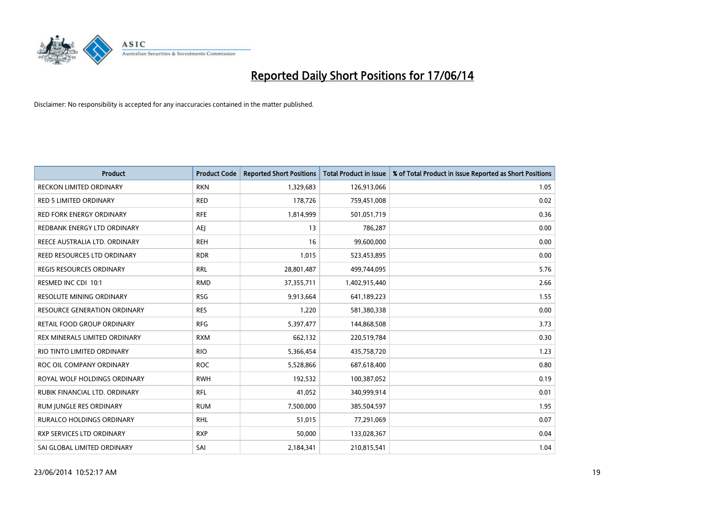

| <b>Product</b>                      | <b>Product Code</b> | <b>Reported Short Positions</b> | <b>Total Product in Issue</b> | % of Total Product in Issue Reported as Short Positions |
|-------------------------------------|---------------------|---------------------------------|-------------------------------|---------------------------------------------------------|
| <b>RECKON LIMITED ORDINARY</b>      | <b>RKN</b>          | 1,329,683                       | 126,913,066                   | 1.05                                                    |
| <b>RED 5 LIMITED ORDINARY</b>       | <b>RED</b>          | 178,726                         | 759,451,008                   | 0.02                                                    |
| <b>RED FORK ENERGY ORDINARY</b>     | <b>RFE</b>          | 1,814,999                       | 501,051,719                   | 0.36                                                    |
| REDBANK ENERGY LTD ORDINARY         | <b>AEJ</b>          | 13                              | 786,287                       | 0.00                                                    |
| REECE AUSTRALIA LTD. ORDINARY       | <b>REH</b>          | 16                              | 99,600,000                    | 0.00                                                    |
| REED RESOURCES LTD ORDINARY         | <b>RDR</b>          | 1,015                           | 523,453,895                   | 0.00                                                    |
| <b>REGIS RESOURCES ORDINARY</b>     | <b>RRL</b>          | 28,801,487                      | 499,744,095                   | 5.76                                                    |
| RESMED INC CDI 10:1                 | <b>RMD</b>          | 37,355,711                      | 1,402,915,440                 | 2.66                                                    |
| <b>RESOLUTE MINING ORDINARY</b>     | <b>RSG</b>          | 9,913,664                       | 641,189,223                   | 1.55                                                    |
| <b>RESOURCE GENERATION ORDINARY</b> | <b>RES</b>          | 1,220                           | 581,380,338                   | 0.00                                                    |
| RETAIL FOOD GROUP ORDINARY          | <b>RFG</b>          | 5,397,477                       | 144,868,508                   | 3.73                                                    |
| REX MINERALS LIMITED ORDINARY       | <b>RXM</b>          | 662,132                         | 220,519,784                   | 0.30                                                    |
| RIO TINTO LIMITED ORDINARY          | <b>RIO</b>          | 5,366,454                       | 435,758,720                   | 1.23                                                    |
| ROC OIL COMPANY ORDINARY            | <b>ROC</b>          | 5,528,866                       | 687,618,400                   | 0.80                                                    |
| ROYAL WOLF HOLDINGS ORDINARY        | <b>RWH</b>          | 192,532                         | 100,387,052                   | 0.19                                                    |
| RUBIK FINANCIAL LTD. ORDINARY       | RFL                 | 41,052                          | 340,999,914                   | 0.01                                                    |
| RUM JUNGLE RES ORDINARY             | <b>RUM</b>          | 7,500,000                       | 385,504,597                   | 1.95                                                    |
| <b>RURALCO HOLDINGS ORDINARY</b>    | <b>RHL</b>          | 51,015                          | 77,291,069                    | 0.07                                                    |
| RXP SERVICES LTD ORDINARY           | <b>RXP</b>          | 50,000                          | 133,028,367                   | 0.04                                                    |
| SAI GLOBAL LIMITED ORDINARY         | SAI                 | 2,184,341                       | 210,815,541                   | 1.04                                                    |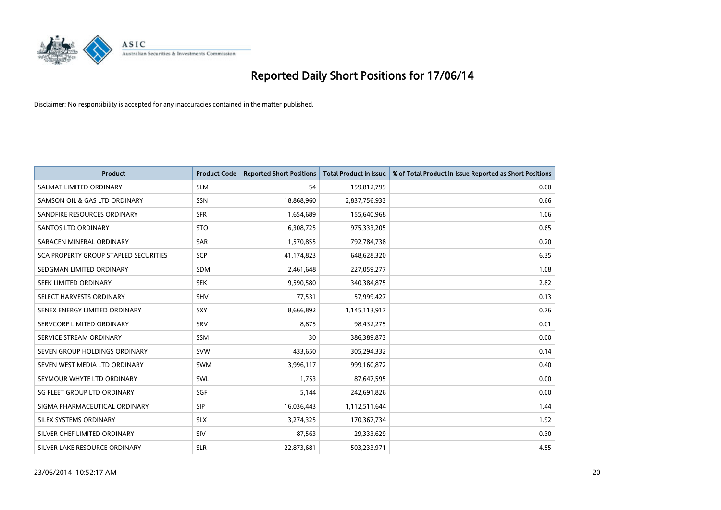

| <b>Product</b>                        | <b>Product Code</b> | <b>Reported Short Positions</b> | <b>Total Product in Issue</b> | % of Total Product in Issue Reported as Short Positions |
|---------------------------------------|---------------------|---------------------------------|-------------------------------|---------------------------------------------------------|
| SALMAT LIMITED ORDINARY               | <b>SLM</b>          | 54                              | 159,812,799                   | 0.00                                                    |
| SAMSON OIL & GAS LTD ORDINARY         | SSN                 | 18,868,960                      | 2,837,756,933                 | 0.66                                                    |
| SANDFIRE RESOURCES ORDINARY           | <b>SFR</b>          | 1,654,689                       | 155,640,968                   | 1.06                                                    |
| <b>SANTOS LTD ORDINARY</b>            | <b>STO</b>          | 6,308,725                       | 975,333,205                   | 0.65                                                    |
| SARACEN MINERAL ORDINARY              | <b>SAR</b>          | 1,570,855                       | 792,784,738                   | 0.20                                                    |
| SCA PROPERTY GROUP STAPLED SECURITIES | SCP                 | 41,174,823                      | 648,628,320                   | 6.35                                                    |
| SEDGMAN LIMITED ORDINARY              | <b>SDM</b>          | 2,461,648                       | 227,059,277                   | 1.08                                                    |
| SEEK LIMITED ORDINARY                 | <b>SEK</b>          | 9,590,580                       | 340,384,875                   | 2.82                                                    |
| SELECT HARVESTS ORDINARY              | SHV                 | 77,531                          | 57,999,427                    | 0.13                                                    |
| SENEX ENERGY LIMITED ORDINARY         | <b>SXY</b>          | 8,666,892                       | 1,145,113,917                 | 0.76                                                    |
| SERVCORP LIMITED ORDINARY             | SRV                 | 8,875                           | 98,432,275                    | 0.01                                                    |
| SERVICE STREAM ORDINARY               | <b>SSM</b>          | 30                              | 386,389,873                   | 0.00                                                    |
| SEVEN GROUP HOLDINGS ORDINARY         | <b>SVW</b>          | 433,650                         | 305,294,332                   | 0.14                                                    |
| SEVEN WEST MEDIA LTD ORDINARY         | SWM                 | 3,996,117                       | 999,160,872                   | 0.40                                                    |
| SEYMOUR WHYTE LTD ORDINARY            | SWL                 | 1.753                           | 87,647,595                    | 0.00                                                    |
| SG FLEET GROUP LTD ORDINARY           | SGF                 | 5,144                           | 242,691,826                   | 0.00                                                    |
| SIGMA PHARMACEUTICAL ORDINARY         | <b>SIP</b>          | 16,036,443                      | 1,112,511,644                 | 1.44                                                    |
| SILEX SYSTEMS ORDINARY                | <b>SLX</b>          | 3,274,325                       | 170,367,734                   | 1.92                                                    |
| SILVER CHEF LIMITED ORDINARY          | SIV                 | 87,563                          | 29,333,629                    | 0.30                                                    |
| SILVER LAKE RESOURCE ORDINARY         | <b>SLR</b>          | 22,873,681                      | 503,233,971                   | 4.55                                                    |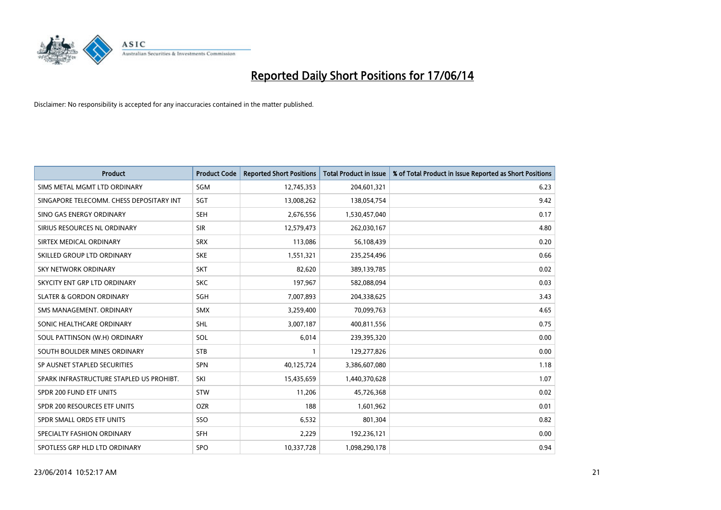

| <b>Product</b>                           | <b>Product Code</b> | <b>Reported Short Positions</b> | <b>Total Product in Issue</b> | % of Total Product in Issue Reported as Short Positions |
|------------------------------------------|---------------------|---------------------------------|-------------------------------|---------------------------------------------------------|
| SIMS METAL MGMT LTD ORDINARY             | SGM                 | 12,745,353                      | 204,601,321                   | 6.23                                                    |
| SINGAPORE TELECOMM. CHESS DEPOSITARY INT | SGT                 | 13,008,262                      | 138,054,754                   | 9.42                                                    |
| SINO GAS ENERGY ORDINARY                 | <b>SEH</b>          | 2,676,556                       | 1,530,457,040                 | 0.17                                                    |
| SIRIUS RESOURCES NL ORDINARY             | <b>SIR</b>          | 12,579,473                      | 262,030,167                   | 4.80                                                    |
| SIRTEX MEDICAL ORDINARY                  | <b>SRX</b>          | 113,086                         | 56,108,439                    | 0.20                                                    |
| SKILLED GROUP LTD ORDINARY               | <b>SKE</b>          | 1,551,321                       | 235,254,496                   | 0.66                                                    |
| <b>SKY NETWORK ORDINARY</b>              | <b>SKT</b>          | 82,620                          | 389,139,785                   | 0.02                                                    |
| SKYCITY ENT GRP LTD ORDINARY             | <b>SKC</b>          | 197,967                         | 582,088,094                   | 0.03                                                    |
| <b>SLATER &amp; GORDON ORDINARY</b>      | SGH                 | 7,007,893                       | 204,338,625                   | 3.43                                                    |
| SMS MANAGEMENT, ORDINARY                 | <b>SMX</b>          | 3,259,400                       | 70,099,763                    | 4.65                                                    |
| SONIC HEALTHCARE ORDINARY                | <b>SHL</b>          | 3,007,187                       | 400,811,556                   | 0.75                                                    |
| SOUL PATTINSON (W.H) ORDINARY            | SOL                 | 6,014                           | 239,395,320                   | 0.00                                                    |
| SOUTH BOULDER MINES ORDINARY             | <b>STB</b>          | 1                               | 129,277,826                   | 0.00                                                    |
| SP AUSNET STAPLED SECURITIES             | SPN                 | 40,125,724                      | 3,386,607,080                 | 1.18                                                    |
| SPARK INFRASTRUCTURE STAPLED US PROHIBT. | SKI                 | 15,435,659                      | 1,440,370,628                 | 1.07                                                    |
| SPDR 200 FUND ETF UNITS                  | <b>STW</b>          | 11,206                          | 45,726,368                    | 0.02                                                    |
| SPDR 200 RESOURCES ETF UNITS             | <b>OZR</b>          | 188                             | 1,601,962                     | 0.01                                                    |
| SPDR SMALL ORDS ETF UNITS                | SSO                 | 6,532                           | 801,304                       | 0.82                                                    |
| SPECIALTY FASHION ORDINARY               | <b>SFH</b>          | 2,229                           | 192,236,121                   | 0.00                                                    |
| SPOTLESS GRP HLD LTD ORDINARY            | <b>SPO</b>          | 10,337,728                      | 1,098,290,178                 | 0.94                                                    |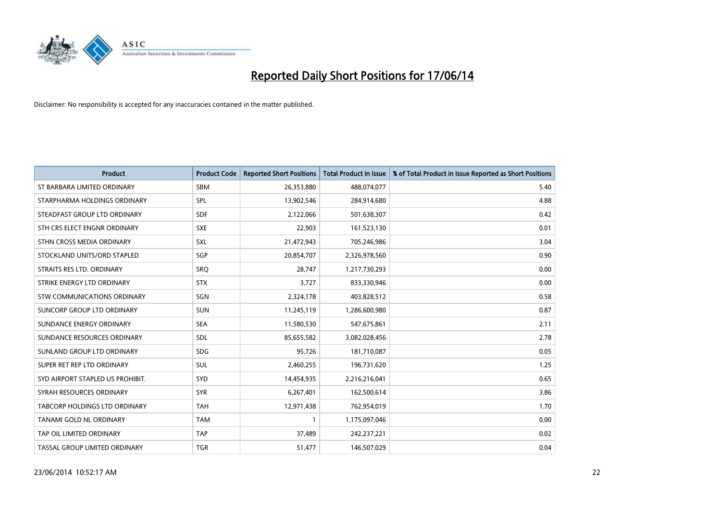

| <b>Product</b>                   | <b>Product Code</b> | <b>Reported Short Positions</b> | <b>Total Product in Issue</b> | % of Total Product in Issue Reported as Short Positions |
|----------------------------------|---------------------|---------------------------------|-------------------------------|---------------------------------------------------------|
| ST BARBARA LIMITED ORDINARY      | <b>SBM</b>          | 26,353,880                      | 488,074,077                   | 5.40                                                    |
| STARPHARMA HOLDINGS ORDINARY     | <b>SPL</b>          | 13,902,546                      | 284,914,680                   | 4.88                                                    |
| STEADFAST GROUP LTD ORDINARY     | <b>SDF</b>          | 2,122,066                       | 501,638,307                   | 0.42                                                    |
| STH CRS ELECT ENGNR ORDINARY     | <b>SXE</b>          | 22,903                          | 161,523,130                   | 0.01                                                    |
| STHN CROSS MEDIA ORDINARY        | SXL                 | 21,472,943                      | 705,246,986                   | 3.04                                                    |
| STOCKLAND UNITS/ORD STAPLED      | SGP                 | 20,854,707                      | 2,326,978,560                 | 0.90                                                    |
| STRAITS RES LTD. ORDINARY        | SRO                 | 28,747                          | 1,217,730,293                 | 0.00                                                    |
| STRIKE ENERGY LTD ORDINARY       | <b>STX</b>          | 3.727                           | 833,330,946                   | 0.00                                                    |
| STW COMMUNICATIONS ORDINARY      | SGN                 | 2,324,178                       | 403,828,512                   | 0.58                                                    |
| SUNCORP GROUP LTD ORDINARY       | <b>SUN</b>          | 11,245,119                      | 1,286,600,980                 | 0.87                                                    |
| SUNDANCE ENERGY ORDINARY         | <b>SEA</b>          | 11,580,530                      | 547,675,861                   | 2.11                                                    |
| SUNDANCE RESOURCES ORDINARY      | <b>SDL</b>          | 85,655,582                      | 3,082,028,456                 | 2.78                                                    |
| SUNLAND GROUP LTD ORDINARY       | <b>SDG</b>          | 95,726                          | 181,710,087                   | 0.05                                                    |
| SUPER RET REP LTD ORDINARY       | SUL                 | 2,460,255                       | 196,731,620                   | 1.25                                                    |
| SYD AIRPORT STAPLED US PROHIBIT. | SYD                 | 14,454,935                      | 2,216,216,041                 | 0.65                                                    |
| SYRAH RESOURCES ORDINARY         | <b>SYR</b>          | 6,267,401                       | 162,500,614                   | 3.86                                                    |
| TABCORP HOLDINGS LTD ORDINARY    | TAH                 | 12,971,438                      | 762,954,019                   | 1.70                                                    |
| <b>TANAMI GOLD NL ORDINARY</b>   | <b>TAM</b>          | 1                               | 1,175,097,046                 | 0.00                                                    |
| TAP OIL LIMITED ORDINARY         | <b>TAP</b>          | 37,489                          | 242,237,221                   | 0.02                                                    |
| TASSAL GROUP LIMITED ORDINARY    | <b>TGR</b>          | 51,477                          | 146,507,029                   | 0.04                                                    |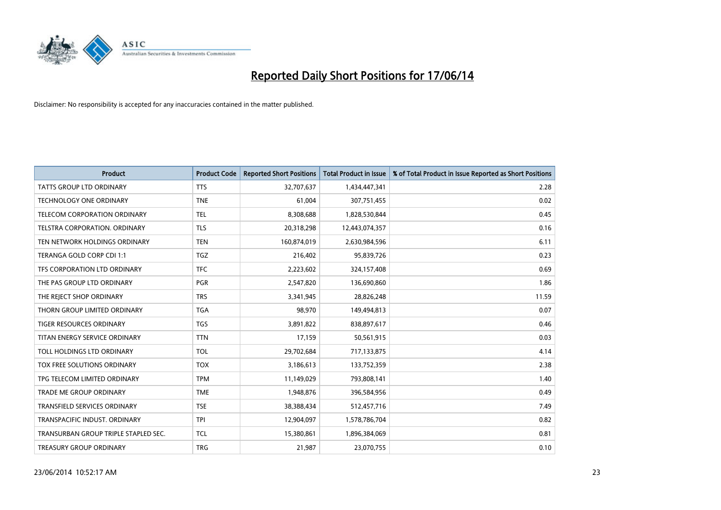

| <b>Product</b>                       | <b>Product Code</b> | <b>Reported Short Positions</b> | <b>Total Product in Issue</b> | % of Total Product in Issue Reported as Short Positions |
|--------------------------------------|---------------------|---------------------------------|-------------------------------|---------------------------------------------------------|
| <b>TATTS GROUP LTD ORDINARY</b>      | <b>TTS</b>          | 32,707,637                      | 1,434,447,341                 | 2.28                                                    |
| TECHNOLOGY ONE ORDINARY              | <b>TNE</b>          | 61,004                          | 307,751,455                   | 0.02                                                    |
| <b>TELECOM CORPORATION ORDINARY</b>  | <b>TEL</b>          | 8,308,688                       | 1,828,530,844                 | 0.45                                                    |
| TELSTRA CORPORATION. ORDINARY        | <b>TLS</b>          | 20,318,298                      | 12,443,074,357                | 0.16                                                    |
| TEN NETWORK HOLDINGS ORDINARY        | <b>TEN</b>          | 160,874,019                     | 2,630,984,596                 | 6.11                                                    |
| TERANGA GOLD CORP CDI 1:1            | <b>TGZ</b>          | 216,402                         | 95,839,726                    | 0.23                                                    |
| TFS CORPORATION LTD ORDINARY         | <b>TFC</b>          | 2,223,602                       | 324,157,408                   | 0.69                                                    |
| THE PAS GROUP LTD ORDINARY           | <b>PGR</b>          | 2,547,820                       | 136,690,860                   | 1.86                                                    |
| THE REJECT SHOP ORDINARY             | <b>TRS</b>          | 3,341,945                       | 28,826,248                    | 11.59                                                   |
| THORN GROUP LIMITED ORDINARY         | <b>TGA</b>          | 98,970                          | 149,494,813                   | 0.07                                                    |
| TIGER RESOURCES ORDINARY             | <b>TGS</b>          | 3,891,822                       | 838,897,617                   | 0.46                                                    |
| TITAN ENERGY SERVICE ORDINARY        | <b>TTN</b>          | 17,159                          | 50,561,915                    | 0.03                                                    |
| TOLL HOLDINGS LTD ORDINARY           | <b>TOL</b>          | 29,702,684                      | 717,133,875                   | 4.14                                                    |
| TOX FREE SOLUTIONS ORDINARY          | <b>TOX</b>          | 3,186,613                       | 133,752,359                   | 2.38                                                    |
| TPG TELECOM LIMITED ORDINARY         | <b>TPM</b>          | 11,149,029                      | 793,808,141                   | 1.40                                                    |
| TRADE ME GROUP ORDINARY              | <b>TME</b>          | 1,948,876                       | 396,584,956                   | 0.49                                                    |
| TRANSFIELD SERVICES ORDINARY         | <b>TSE</b>          | 38,388,434                      | 512,457,716                   | 7.49                                                    |
| TRANSPACIFIC INDUST. ORDINARY        | <b>TPI</b>          | 12,904,097                      | 1,578,786,704                 | 0.82                                                    |
| TRANSURBAN GROUP TRIPLE STAPLED SEC. | TCL                 | 15,380,861                      | 1,896,384,069                 | 0.81                                                    |
| TREASURY GROUP ORDINARY              | <b>TRG</b>          | 21,987                          | 23,070,755                    | 0.10                                                    |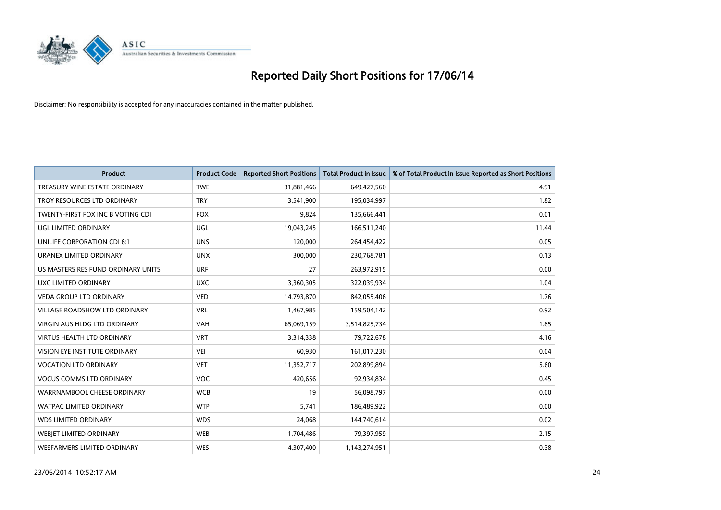

| <b>Product</b>                       | <b>Product Code</b> | <b>Reported Short Positions</b> | <b>Total Product in Issue</b> | % of Total Product in Issue Reported as Short Positions |
|--------------------------------------|---------------------|---------------------------------|-------------------------------|---------------------------------------------------------|
| TREASURY WINE ESTATE ORDINARY        | <b>TWE</b>          | 31,881,466                      | 649,427,560                   | 4.91                                                    |
| TROY RESOURCES LTD ORDINARY          | <b>TRY</b>          | 3,541,900                       | 195,034,997                   | 1.82                                                    |
| TWENTY-FIRST FOX INC B VOTING CDI    | <b>FOX</b>          | 9,824                           | 135,666,441                   | 0.01                                                    |
| UGL LIMITED ORDINARY                 | UGL                 | 19,043,245                      | 166,511,240                   | 11.44                                                   |
| UNILIFE CORPORATION CDI 6:1          | <b>UNS</b>          | 120,000                         | 264,454,422                   | 0.05                                                    |
| URANEX LIMITED ORDINARY              | <b>UNX</b>          | 300,000                         | 230,768,781                   | 0.13                                                    |
| US MASTERS RES FUND ORDINARY UNITS   | <b>URF</b>          | 27                              | 263,972,915                   | 0.00                                                    |
| UXC LIMITED ORDINARY                 | <b>UXC</b>          | 3,360,305                       | 322,039,934                   | 1.04                                                    |
| <b>VEDA GROUP LTD ORDINARY</b>       | <b>VED</b>          | 14,793,870                      | 842,055,406                   | 1.76                                                    |
| <b>VILLAGE ROADSHOW LTD ORDINARY</b> | <b>VRL</b>          | 1,467,985                       | 159,504,142                   | 0.92                                                    |
| VIRGIN AUS HLDG LTD ORDINARY         | VAH                 | 65,069,159                      | 3,514,825,734                 | 1.85                                                    |
| <b>VIRTUS HEALTH LTD ORDINARY</b>    | <b>VRT</b>          | 3,314,338                       | 79,722,678                    | 4.16                                                    |
| VISION EYE INSTITUTE ORDINARY        | <b>VEI</b>          | 60,930                          | 161,017,230                   | 0.04                                                    |
| <b>VOCATION LTD ORDINARY</b>         | <b>VET</b>          | 11,352,717                      | 202,899,894                   | 5.60                                                    |
| <b>VOCUS COMMS LTD ORDINARY</b>      | VOC                 | 420,656                         | 92,934,834                    | 0.45                                                    |
| WARRNAMBOOL CHEESE ORDINARY          | <b>WCB</b>          | 19                              | 56,098,797                    | 0.00                                                    |
| WATPAC LIMITED ORDINARY              | <b>WTP</b>          | 5,741                           | 186,489,922                   | 0.00                                                    |
| <b>WDS LIMITED ORDINARY</b>          | <b>WDS</b>          | 24,068                          | 144,740,614                   | 0.02                                                    |
| WEBJET LIMITED ORDINARY              | <b>WEB</b>          | 1,704,486                       | 79,397,959                    | 2.15                                                    |
| <b>WESFARMERS LIMITED ORDINARY</b>   | <b>WES</b>          | 4,307,400                       | 1,143,274,951                 | 0.38                                                    |